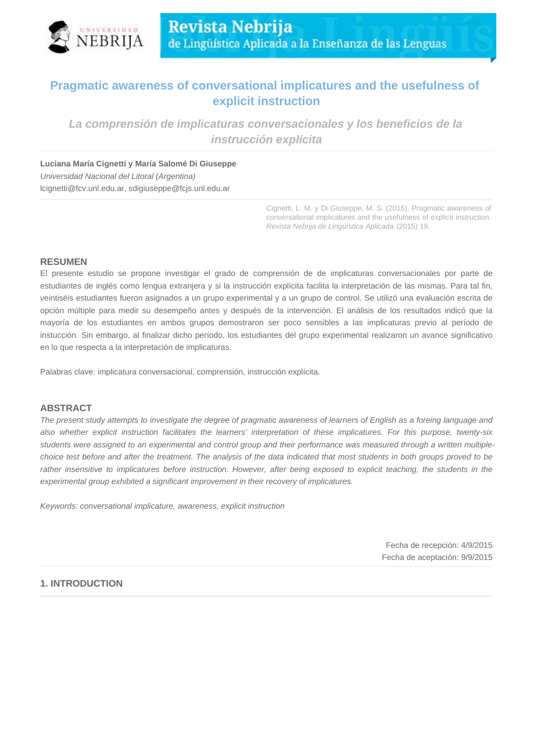

# **Pragmatic awareness of conversational implicatures and the usefulness of explicit instruction**

**La comprensión de implicaturas conversacionales y los beneficios de la instrucción explícita**

**Luciana María Cignetti y María Salomé Di Giuseppe**

Universidad Nacional del Litoral (Argentina) lcignetti@fcv.unl.edu.ar, sdigiuseppe@fcjs.unl.edu.ar

> Cignetti, L. M. y Di Giuseppe, M. S. (2015). Pragmatic awareness of conversational implicatures and the usefulness of explicit instruction. Revista Nebrija de Lingüística Aplicada (2015) 19.

## **RESUMEN**

El presente estudio se propone investigar el grado de comprensión de de implicaturas conversacionales por parte de estudiantes de inglés como lengua extranjera y si la instrucción explícita facilita la interpretación de las mismas. Para tal fin, veintiséis estudiantes fueron asignados a un grupo experimental y a un grupo de control. Se utilizó una evaluación escrita de opción múltiple para medir su desempeño antes y después de la intervención. El análisis de los resultados indicó que la mayoría de los estudiantes en ambos grupos demostraron ser poco sensibles a las implicaturas previo al período de instucción. Sin embargo, al finalizar dicho período, los estudiantes del grupo experimental realizaron un avance significativo en lo que respecta a la interpretación de implicaturas.

Palabras clave: implicatura conversacional, comprensión, instrucción explícita.

## **ABSTRACT**

The present study attempts to investigate the degree of pragmatic awareness of learners of English as a foreing language and also whether explicit instruction facilitates the learners' interpretation of these implicatures. For this purpose, twenty-six students were assigned to an experimental and control group and their performance was measured through a written multiplechoice test before and after the treatment. The analysis of the data indicated that most students in both groups proved to be rather insensitive to implicatures before instruction. However, after being exposed to explicit teaching, the students in the experimental group exhibited a significant improvement in their recovery of implicatures.

Keywords: conversational implicature, awareness, explicit instruction

Fecha de recepción: 4/9/2015 Fecha de aceptación: 9/9/2015

## **1. INTRODUCTION**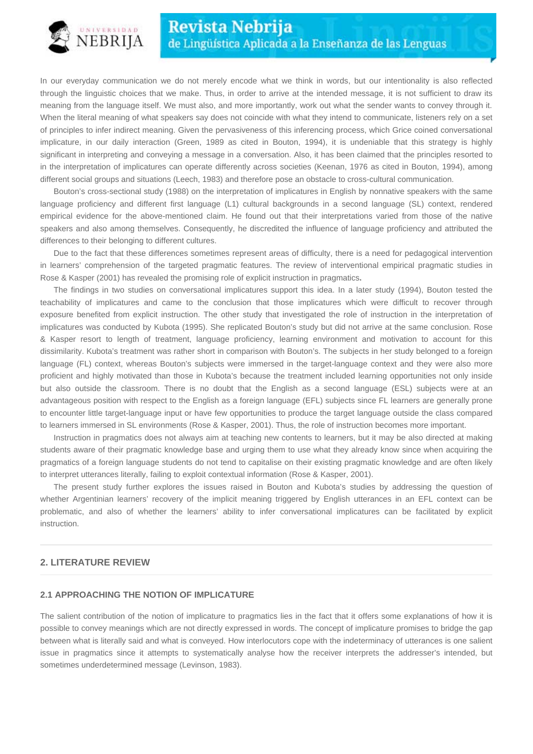

In our everyday communication we do not merely encode what we think in words, but our intentionality is also reflected through the linguistic choices that we make. Thus, in order to arrive at the intended message, it is not sufficient to draw its meaning from the language itself. We must also, and more importantly, work out what the sender wants to convey through it. When the literal meaning of what speakers say does not coincide with what they intend to communicate, listeners rely on a set of principles to infer indirect meaning. Given the pervasiveness of this inferencing process, which Grice coined conversational implicature, in our daily interaction (Green, 1989 as cited in Bouton, 1994), it is undeniable that this strategy is highly significant in interpreting and conveying a message in a conversation. Also, it has been claimed that the principles resorted to in the interpretation of implicatures can operate differently across societies (Keenan, 1976 as cited in Bouton, 1994), among different social groups and situations (Leech, 1983) and therefore pose an obstacle to cross-cultural communication.

Bouton's cross-sectional study (1988) on the interpretation of implicatures in English by nonnative speakers with the same language proficiency and different first language (L1) cultural backgrounds in a second language (SL) context, rendered empirical evidence for the above-mentioned claim. He found out that their interpretations varied from those of the native speakers and also among themselves. Consequently, he discredited the influence of language proficiency and attributed the differences to their belonging to different cultures.

Due to the fact that these differences sometimes represent areas of difficulty, there is a need for pedagogical intervention in learners' comprehension of the targeted pragmatic features. The review of interventional empirical pragmatic studies in Rose & Kasper (2001) has revealed the promising role of explicit instruction in pragmatics**.**

The findings in two studies on conversational implicatures support this idea. In a later study (1994), Bouton tested the teachability of implicatures and came to the conclusion that those implicatures which were difficult to recover through exposure benefited from explicit instruction. The other study that investigated the role of instruction in the interpretation of implicatures was conducted by Kubota (1995). She replicated Bouton's study but did not arrive at the same conclusion. Rose & Kasper resort to length of treatment, language proficiency, learning environment and motivation to account for this dissimilarity. Kubota's treatment was rather short in comparison with Bouton's. The subjects in her study belonged to a foreign language (FL) context, whereas Bouton's subjects were immersed in the target-language context and they were also more proficient and highly motivated than those in Kubota's because the treatment included learning opportunities not only inside but also outside the classroom. There is no doubt that the English as a second language (ESL) subjects were at an advantageous position with respect to the English as a foreign language (EFL) subjects since FL learners are generally prone to encounter little target-language input or have few opportunities to produce the target language outside the class compared to learners immersed in SL environments (Rose & Kasper, 2001). Thus, the role of instruction becomes more important.

Instruction in pragmatics does not always aim at teaching new contents to learners, but it may be also directed at making students aware of their pragmatic knowledge base and urging them to use what they already know since when acquiring the pragmatics of a foreign language students do not tend to capitalise on their existing pragmatic knowledge and are often likely to interpret utterances literally, failing to exploit contextual information (Rose & Kasper, 2001).

The present study further explores the issues raised in Bouton and Kubota's studies by addressing the question of whether Argentinian learners' recovery of the implicit meaning triggered by English utterances in an EFL context can be problematic, and also of whether the learners' ability to infer conversational implicatures can be facilitated by explicit instruction.

#### **2. LITERATURE REVIEW**

#### **2.1 APPROACHING THE NOTION OF IMPLICATURE**

The salient contribution of the notion of implicature to pragmatics lies in the fact that it offers some explanations of how it is possible to convey meanings which are not directly expressed in words. The concept of implicature promises to bridge the gap between what is literally said and what is conveyed. How interlocutors cope with the indeterminacy of utterances is one salient issue in pragmatics since it attempts to systematically analyse how the receiver interprets the addresser's intended, but sometimes underdetermined message (Levinson, 1983).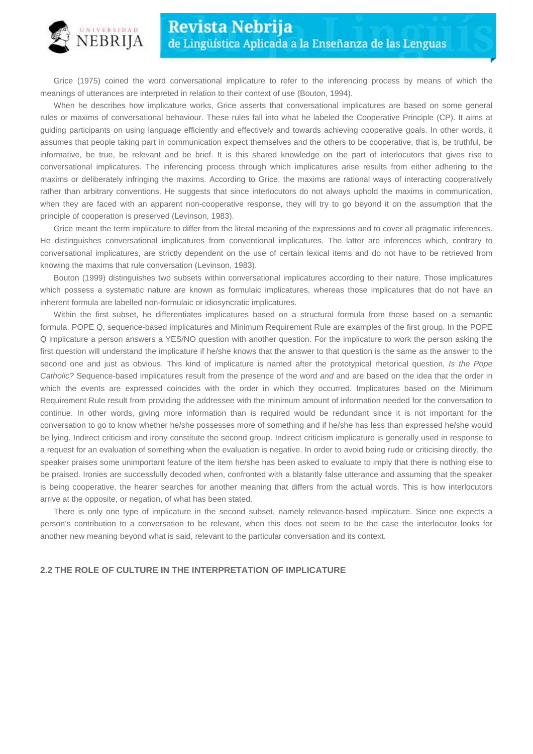

Grice (1975) coined the word conversational implicature to refer to the inferencing process by means of which the meanings of utterances are interpreted in relation to their context of use (Bouton, 1994).

When he describes how implicature works, Grice asserts that conversational implicatures are based on some general rules or maxims of conversational behaviour. These rules fall into what he labeled the Cooperative Principle (CP). It aims at guiding participants on using language efficiently and effectively and towards achieving cooperative goals. In other words, it assumes that people taking part in communication expect themselves and the others to be cooperative, that is, be truthful, be informative, be true, be relevant and be brief. It is this shared knowledge on the part of interlocutors that gives rise to conversational implicatures. The inferencing process through which implicatures arise results from either adhering to the maxims or deliberately infringing the maxims. According to Grice, the maxims are rational ways of interacting cooperatively rather than arbitrary conventions. He suggests that since interlocutors do not always uphold the maxims in communication, when they are faced with an apparent non-cooperative response, they will try to go beyond it on the assumption that the principle of cooperation is preserved (Levinson, 1983).

Grice meant the term implicature to differ from the literal meaning of the expressions and to cover all pragmatic inferences. He distinguishes conversational implicatures from conventional implicatures. The latter are inferences which, contrary to conversational implicatures, are strictly dependent on the use of certain lexical items and do not have to be retrieved from knowing the maxims that rule conversation (Levinson, 1983).

Bouton (1999) distinguishes two subsets within conversational implicatures according to their nature. Those implicatures which possess a systematic nature are known as formulaic implicatures, whereas those implicatures that do not have an inherent formula are labelled non-formulaic or idiosyncratic implicatures.

Within the first subset, he differentiates implicatures based on a structural formula from those based on a semantic formula. POPE Q, sequence-based implicatures and Minimum Requirement Rule are examples of the first group. In the POPE Q implicature a person answers a YES/NO question with another question. For the implicature to work the person asking the first question will understand the implicature if he/she knows that the answer to that question is the same as the answer to the second one and just as obvious. This kind of implicature is named after the prototypical rhetorical question, Is the Pope Catholic? Sequence-based implicatures result from the presence of the word and and are based on the idea that the order in which the events are expressed coincides with the order in which they occurred. Implicatures based on the Minimum Requirement Rule result from providing the addressee with the minimum amount of information needed for the conversation to continue. In other words, giving more information than is required would be redundant since it is not important for the conversation to go to know whether he/she possesses more of something and if he/she has less than expressed he/she would be lying. Indirect criticism and irony constitute the second group. Indirect criticism implicature is generally used in response to a request for an evaluation of something when the evaluation is negative. In order to avoid being rude or criticising directly, the speaker praises some unimportant feature of the item he/she has been asked to evaluate to imply that there is nothing else to be praised. Ironies are successfully decoded when, confronted with a blatantly false utterance and assuming that the speaker is being cooperative, the hearer searches for another meaning that differs from the actual words. This is how interlocutors arrive at the opposite, or negation, of what has been stated.

There is only one type of implicature in the second subset, namely relevance-based implicature. Since one expects a person's contribution to a conversation to be relevant, when this does not seem to be the case the interlocutor looks for another new meaning beyond what is said, relevant to the particular conversation and its context.

#### **2.2 THE ROLE OF CULTURE IN THE INTERPRETATION OF IMPLICATURE**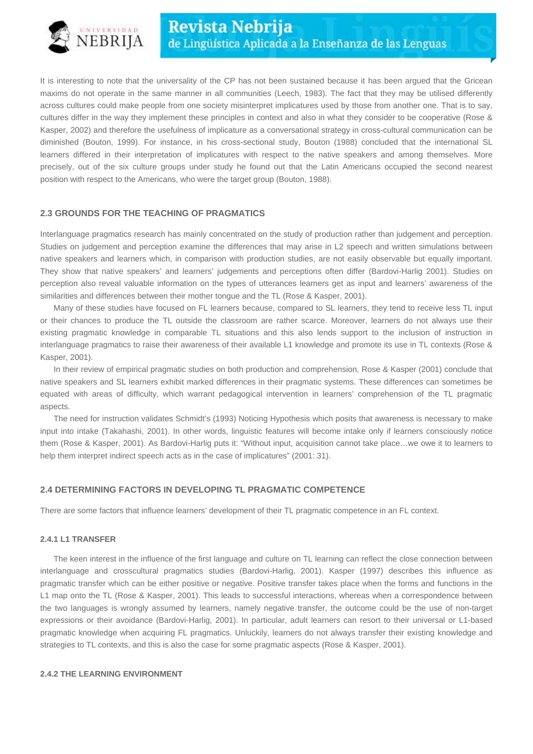

It is interesting to note that the universality of the CP has not been sustained because it has been argued that the Gricean maxims do not operate in the same manner in all communities (Leech, 1983). The fact that they may be utilised differently across cultures could make people from one society misinterpret implicatures used by those from another one. That is to say, cultures differ in the way they implement these principles in context and also in what they consider to be cooperative (Rose & Kasper, 2002) and therefore the usefulness of implicature as a conversational strategy in cross-cultural communication can be diminished (Bouton, 1999). For instance, in his cross-sectional study, Bouton (1988) concluded that the international SL learners differed in their interpretation of implicatures with respect to the native speakers and among themselves. More precisely, out of the six culture groups under study he found out that the Latin Americans occupied the second nearest position with respect to the Americans, who were the target group (Bouton, 1988).

## **2.3 GROUNDS FOR THE TEACHING OF PRAGMATICS**

Interlanguage pragmatics research has mainly concentrated on the study of production rather than judgement and perception. Studies on judgement and perception examine the differences that may arise in L2 speech and written simulations between native speakers and learners which, in comparison with production studies, are not easily observable but equally important. They show that native speakers' and learners' judgements and perceptions often differ (Bardovi-Harlig 2001). Studies on perception also reveal valuable information on the types of utterances learners get as input and learners' awareness of the similarities and differences between their mother tongue and the TL (Rose & Kasper, 2001).

Many of these studies have focused on FL learners because, compared to SL learners, they tend to receive less TL input or their chances to produce the TL outside the classroom are rather scarce. Moreover, learners do not always use their existing pragmatic knowledge in comparable TL situations and this also lends support to the inclusion of instruction in interlanguage pragmatics to raise their awareness of their available L1 knowledge and promote its use in TL contexts (Rose & Kasper, 2001).

In their review of empirical pragmatic studies on both production and comprehension, Rose & Kasper (2001) conclude that native speakers and SL learners exhibit marked differences in their pragmatic systems. These differences can sometimes be equated with areas of difficulty, which warrant pedagogical intervention in learners' comprehension of the TL pragmatic aspects.

The need for instruction validates Schmidt's (1993) Noticing Hypothesis which posits that awareness is necessary to make input into intake (Takahashi, 2001). In other words, linguistic features will become intake only if learners consciously notice them (Rose & Kasper, 2001). As Bardovi-Harlig puts it: "Without input, acquisition cannot take place…we owe it to learners to help them interpret indirect speech acts as in the case of implicatures" (2001: 31).

#### **2.4 DETERMINING FACTORS IN DEVELOPING TL PRAGMATIC COMPETENCE**

There are some factors that influence learners' development of their TL pragmatic competence in an FL context.

#### **2.4.1 L1 TRANSFER**

The keen interest in the influence of the first language and culture on TL learning can reflect the close connection between interlanguage and crosscultural pragmatics studies (Bardovi-Harlig, 2001). Kasper (1997) describes this influence as pragmatic transfer which can be either positive or negative. Positive transfer takes place when the forms and functions in the L1 map onto the TL (Rose & Kasper, 2001). This leads to successful interactions, whereas when a correspondence between the two languages is wrongly assumed by learners, namely negative transfer, the outcome could be the use of non-target expressions or their avoidance (Bardovi-Harlig, 2001). In particular, adult learners can resort to their universal or L1-based pragmatic knowledge when acquiring FL pragmatics. Unluckily, learners do not always transfer their existing knowledge and strategies to TL contexts, and this is also the case for some pragmatic aspects (Rose & Kasper, 2001).

#### **2.4.2 THE LEARNING ENVIRONMENT**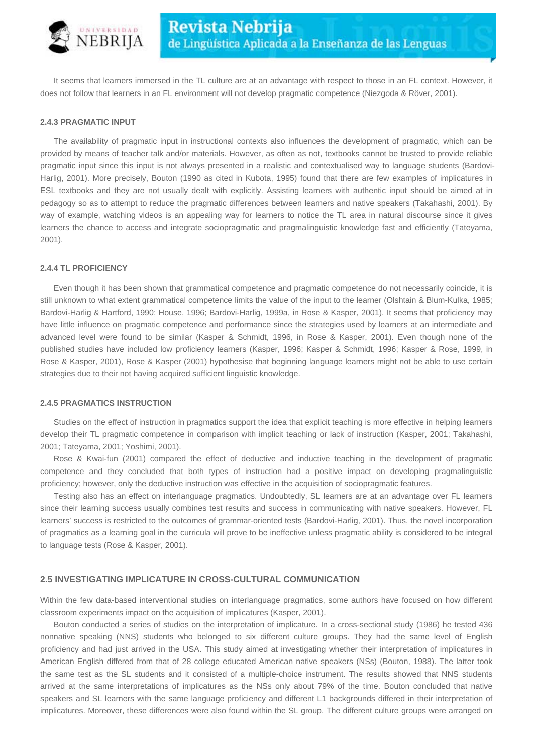

It seems that learners immersed in the TL culture are at an advantage with respect to those in an FL context. However, it does not follow that learners in an FL environment will not develop pragmatic competence (Niezgoda & Röver, 2001).

#### **2.4.3 PRAGMATIC INPUT**

The availability of pragmatic input in instructional contexts also influences the development of pragmatic, which can be provided by means of teacher talk and/or materials. However, as often as not, textbooks cannot be trusted to provide reliable pragmatic input since this input is not always presented in a realistic and contextualised way to language students (Bardovi-Harlig, 2001). More precisely, Bouton (1990 as cited in Kubota, 1995) found that there are few examples of implicatures in ESL textbooks and they are not usually dealt with explicitly. Assisting learners with authentic input should be aimed at in pedagogy so as to attempt to reduce the pragmatic differences between learners and native speakers (Takahashi, 2001). By way of example, watching videos is an appealing way for learners to notice the TL area in natural discourse since it gives learners the chance to access and integrate sociopragmatic and pragmalinguistic knowledge fast and efficiently (Tateyama, 2001).

### **2.4.4 TL PROFICIENCY**

Even though it has been shown that grammatical competence and pragmatic competence do not necessarily coincide, it is still unknown to what extent grammatical competence limits the value of the input to the learner (Olshtain & Blum-Kulka, 1985; Bardovi-Harlig & Hartford, 1990; House, 1996; Bardovi-Harlig, 1999a, in Rose & Kasper, 2001). It seems that proficiency may have little influence on pragmatic competence and performance since the strategies used by learners at an intermediate and advanced level were found to be similar (Kasper & Schmidt, 1996, in Rose & Kasper, 2001). Even though none of the published studies have included low proficiency learners (Kasper, 1996; Kasper & Schmidt, 1996; Kasper & Rose, 1999, in Rose & Kasper, 2001), Rose & Kasper (2001) hypothesise that beginning language learners might not be able to use certain strategies due to their not having acquired sufficient linguistic knowledge.

#### **2.4.5 PRAGMATICS INSTRUCTION**

Studies on the effect of instruction in pragmatics support the idea that explicit teaching is more effective in helping learners develop their TL pragmatic competence in comparison with implicit teaching or lack of instruction (Kasper, 2001; Takahashi, 2001; Tateyama, 2001; Yoshimi, 2001).

Rose & Kwai-fun (2001) compared the effect of deductive and inductive teaching in the development of pragmatic competence and they concluded that both types of instruction had a positive impact on developing pragmalinguistic proficiency; however, only the deductive instruction was effective in the acquisition of sociopragmatic features.

Testing also has an effect on interlanguage pragmatics. Undoubtedly, SL learners are at an advantage over FL learners since their learning success usually combines test results and success in communicating with native speakers. However, FL learners' success is restricted to the outcomes of grammar-oriented tests (Bardovi-Harlig, 2001). Thus, the novel incorporation of pragmatics as a learning goal in the curricula will prove to be ineffective unless pragmatic ability is considered to be integral to language tests (Rose & Kasper, 2001).

### **2.5 INVESTIGATING IMPLICATURE IN CROSS-CULTURAL COMMUNICATION**

Within the few data-based interventional studies on interlanguage pragmatics, some authors have focused on how different classroom experiments impact on the acquisition of implicatures (Kasper, 2001).

Bouton conducted a series of studies on the interpretation of implicature. In a cross-sectional study (1986) he tested 436 nonnative speaking (NNS) students who belonged to six different culture groups. They had the same level of English proficiency and had just arrived in the USA. This study aimed at investigating whether their interpretation of implicatures in American English differed from that of 28 college educated American native speakers (NSs) (Bouton, 1988). The latter took the same test as the SL students and it consisted of a multiple-choice instrument. The results showed that NNS students arrived at the same interpretations of implicatures as the NSs only about 79% of the time. Bouton concluded that native speakers and SL learners with the same language proficiency and different L1 backgrounds differed in their interpretation of implicatures. Moreover, these differences were also found within the SL group. The different culture groups were arranged on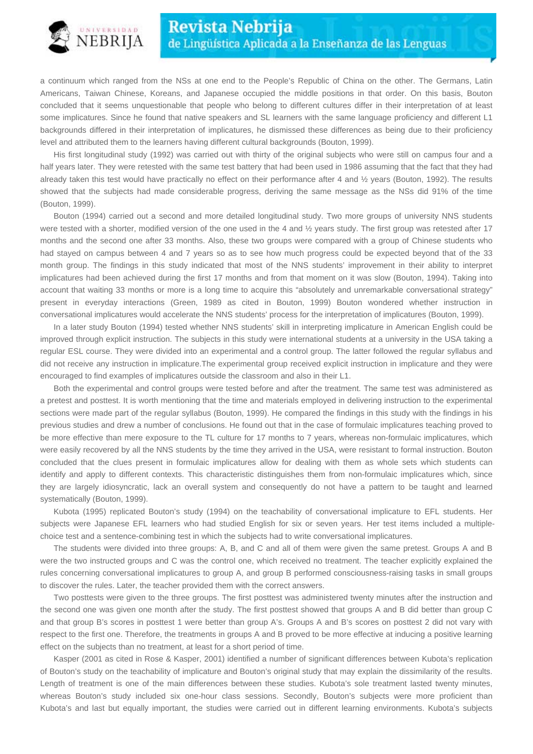

a continuum which ranged from the NSs at one end to the People's Republic of China on the other. The Germans, Latin Americans, Taiwan Chinese, Koreans, and Japanese occupied the middle positions in that order. On this basis, Bouton concluded that it seems unquestionable that people who belong to different cultures differ in their interpretation of at least some implicatures. Since he found that native speakers and SL learners with the same language proficiency and different L1 backgrounds differed in their interpretation of implicatures, he dismissed these differences as being due to their proficiency level and attributed them to the learners having different cultural backgrounds (Bouton, 1999).

His first longitudinal study (1992) was carried out with thirty of the original subjects who were still on campus four and a half years later. They were retested with the same test battery that had been used in 1986 assuming that the fact that they had already taken this test would have practically no effect on their performance after 4 and ½ years (Bouton, 1992). The results showed that the subjects had made considerable progress, deriving the same message as the NSs did 91% of the time (Bouton, 1999).

Bouton (1994) carried out a second and more detailed longitudinal study. Two more groups of university NNS students were tested with a shorter, modified version of the one used in the 4 and  $\frac{1}{2}$  years study. The first group was retested after 17 months and the second one after 33 months. Also, these two groups were compared with a group of Chinese students who had stayed on campus between 4 and 7 years so as to see how much progress could be expected beyond that of the 33 month group. The findings in this study indicated that most of the NNS students' improvement in their ability to interpret implicatures had been achieved during the first 17 months and from that moment on it was slow (Bouton, 1994). Taking into account that waiting 33 months or more is a long time to acquire this "absolutely and unremarkable conversational strategy" present in everyday interactions (Green, 1989 as cited in Bouton, 1999) Bouton wondered whether instruction in conversational implicatures would accelerate the NNS students' process for the interpretation of implicatures (Bouton, 1999).

In a later study Bouton (1994) tested whether NNS students' skill in interpreting implicature in American English could be improved through explicit instruction. The subjects in this study were international students at a university in the USA taking a regular ESL course. They were divided into an experimental and a control group. The latter followed the regular syllabus and did not receive any instruction in implicature.The experimental group received explicit instruction in implicature and they were encouraged to find examples of implicatures outside the classroom and also in their L1.

Both the experimental and control groups were tested before and after the treatment. The same test was administered as a pretest and posttest. It is worth mentioning that the time and materials employed in delivering instruction to the experimental sections were made part of the regular syllabus (Bouton, 1999). He compared the findings in this study with the findings in his previous studies and drew a number of conclusions. He found out that in the case of formulaic implicatures teaching proved to be more effective than mere exposure to the TL culture for 17 months to 7 years, whereas non-formulaic implicatures, which were easily recovered by all the NNS students by the time they arrived in the USA, were resistant to formal instruction. Bouton concluded that the clues present in formulaic implicatures allow for dealing with them as whole sets which students can identify and apply to different contexts. This characteristic distinguishes them from non-formulaic implicatures which, since they are largely idiosyncratic, lack an overall system and consequently do not have a pattern to be taught and learned systematically (Bouton, 1999).

Kubota (1995) replicated Bouton's study (1994) on the teachability of conversational implicature to EFL students. Her subjects were Japanese EFL learners who had studied English for six or seven years. Her test items included a multiplechoice test and a sentence-combining test in which the subjects had to write conversational implicatures.

The students were divided into three groups: A, B, and C and all of them were given the same pretest. Groups A and B were the two instructed groups and C was the control one, which received no treatment. The teacher explicitly explained the rules concerning conversational implicatures to group A, and group B performed consciousness-raising tasks in small groups to discover the rules. Later, the teacher provided them with the correct answers.

Two posttests were given to the three groups. The first posttest was administered twenty minutes after the instruction and the second one was given one month after the study. The first posttest showed that groups A and B did better than group C and that group B's scores in posttest 1 were better than group A's. Groups A and B's scores on posttest 2 did not vary with respect to the first one. Therefore, the treatments in groups A and B proved to be more effective at inducing a positive learning effect on the subjects than no treatment, at least for a short period of time.

Kasper (2001 as cited in Rose & Kasper, 2001) identified a number of significant differences between Kubota's replication of Bouton's study on the teachability of implicature and Bouton's original study that may explain the dissimilarity of the results. Length of treatment is one of the main differences between these studies. Kubota's sole treatment lasted twenty minutes, whereas Bouton's study included six one-hour class sessions. Secondly, Bouton's subjects were more proficient than Kubota's and last but equally important, the studies were carried out in different learning environments. Kubota's subjects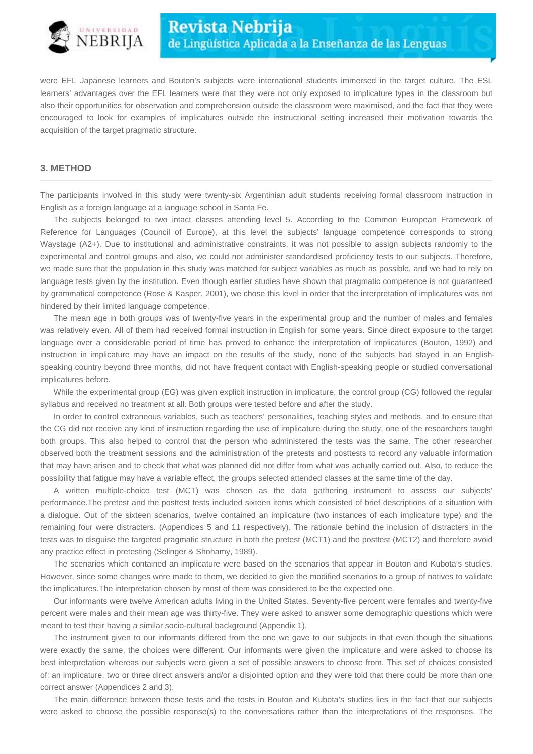

were EFL Japanese learners and Bouton's subjects were international students immersed in the target culture. The ESL learners' advantages over the EFL learners were that they were not only exposed to implicature types in the classroom but also their opportunities for observation and comprehension outside the classroom were maximised, and the fact that they were encouraged to look for examples of implicatures outside the instructional setting increased their motivation towards the acquisition of the target pragmatic structure.

#### **3. METHOD**

The participants involved in this study were twenty-six Argentinian adult students receiving formal classroom instruction in English as a foreign language at a language school in Santa Fe.

The subjects belonged to two intact classes attending level 5. According to the Common European Framework of Reference for Languages (Council of Europe), at this level the subjects' language competence corresponds to strong Waystage (A2+). Due to institutional and administrative constraints, it was not possible to assign subjects randomly to the experimental and control groups and also, we could not administer standardised proficiency tests to our subjects. Therefore, we made sure that the population in this study was matched for subject variables as much as possible, and we had to rely on language tests given by the institution. Even though earlier studies have shown that pragmatic competence is not guaranteed by grammatical competence (Rose & Kasper, 2001), we chose this level in order that the interpretation of implicatures was not hindered by their limited language competence.

The mean age in both groups was of twenty-five years in the experimental group and the number of males and females was relatively even. All of them had received formal instruction in English for some years. Since direct exposure to the target language over a considerable period of time has proved to enhance the interpretation of implicatures (Bouton, 1992) and instruction in implicature may have an impact on the results of the study, none of the subjects had stayed in an Englishspeaking country beyond three months, did not have frequent contact with English-speaking people or studied conversational implicatures before.

While the experimental group (EG) was given explicit instruction in implicature, the control group (CG) followed the regular syllabus and received no treatment at all. Both groups were tested before and after the study.

In order to control extraneous variables, such as teachers' personalities, teaching styles and methods, and to ensure that the CG did not receive any kind of instruction regarding the use of implicature during the study, one of the researchers taught both groups. This also helped to control that the person who administered the tests was the same. The other researcher observed both the treatment sessions and the administration of the pretests and posttests to record any valuable information that may have arisen and to check that what was planned did not differ from what was actually carried out. Also, to reduce the possibility that fatigue may have a variable effect, the groups selected attended classes at the same time of the day.

A written multiple-choice test (MCT) was chosen as the data gathering instrument to assess our subjects' performance.The pretest and the posttest tests included sixteen items which consisted of brief descriptions of a situation with a dialogue. Out of the sixteen scenarios, twelve contained an implicature (two instances of each implicature type) and the remaining four were distracters. (Appendices 5 and 11 respectively). The rationale behind the inclusion of distracters in the tests was to disguise the targeted pragmatic structure in both the pretest (MCT1) and the posttest (MCT2) and therefore avoid any practice effect in pretesting (Selinger & Shohamy, 1989).

The scenarios which contained an implicature were based on the scenarios that appear in Bouton and Kubota's studies. However, since some changes were made to them, we decided to give the modified scenarios to a group of natives to validate the implicatures.The interpretation chosen by most of them was considered to be the expected one.

Our informants were twelve American adults living in the United States. Seventy-five percent were females and twenty-five percent were males and their mean age was thirty-five. They were asked to answer some demographic questions which were meant to test their having a similar socio-cultural background (Appendix 1).

The instrument given to our informants differed from the one we gave to our subjects in that even though the situations were exactly the same, the choices were different. Our informants were given the implicature and were asked to choose its best interpretation whereas our subjects were given a set of possible answers to choose from. This set of choices consisted of: an implicature, two or three direct answers and/or a disjointed option and they were told that there could be more than one correct answer (Appendices 2 and 3).

The main difference between these tests and the tests in Bouton and Kubota's studies lies in the fact that our subjects were asked to choose the possible response(s) to the conversations rather than the interpretations of the responses. The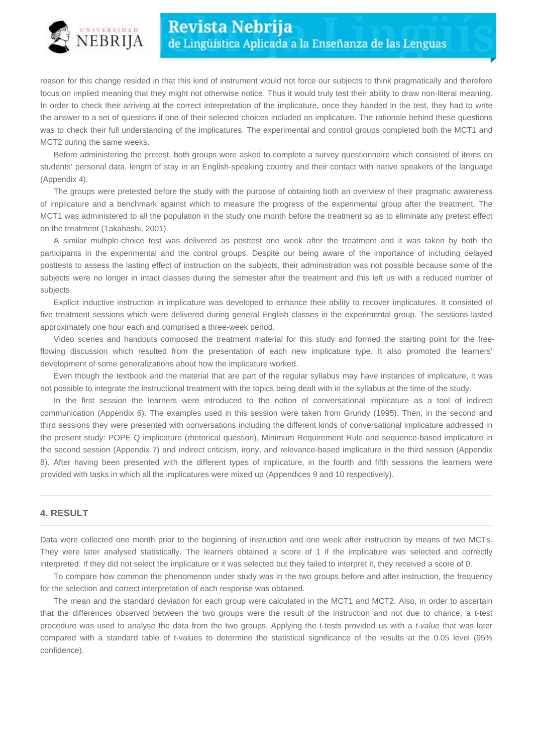

reason for this change resided in that this kind of instrument would not force our subjects to think pragmatically and therefore focus on implied meaning that they might not otherwise notice. Thus it would truly test their ability to draw non-literal meaning. In order to check their arriving at the correct interpretation of the implicature, once they handed in the test, they had to write the answer to a set of questions if one of their selected choices included an implicature. The rationale behind these questions was to check their full understanding of the implicatures. The experimental and control groups completed both the MCT1 and MCT2 during the same weeks.

Before administering the pretest, both groups were asked to complete a survey questionnaire which consisted of items on students' personal data, length of stay in an English-speaking country and their contact with native speakers of the language (Appendix 4).

The groups were pretested before the study with the purpose of obtaining both an overview of their pragmatic awareness of implicature and a benchmark against which to measure the progress of the experimental group after the treatment. The MCT1 was administered to all the population in the study one month before the treatment so as to eliminate any pretest effect on the treatment (Takahashi, 2001).

A similar multiple-choice test was delivered as posttest one week after the treatment and it was taken by both the participants in the experimental and the control groups. Despite our being aware of the importance of including delayed posttests to assess the lasting effect of instruction on the subjects, their administration was not possible because some of the subjects were no longer in intact classes during the semester after the treatment and this left us with a reduced number of subjects.

Explicit inductive instruction in implicature was developed to enhance their ability to recover implicatures. It consisted of five treatment sessions which were delivered during general English classes in the experimental group. The sessions lasted approximately one hour each and comprised a three-week period.

Video scenes and handouts composed the treatment material for this study and formed the starting point for the freeflowing discussion which resulted from the presentation of each new implicature type. It also promoted the learners' development of some generalizations about how the implicature worked.

Even though the textbook and the material that are part of the regular syllabus may have instances of implicature, it was not possible to integrate the instructional treatment with the topics being dealt with in the syllabus at the time of the study.

In the first session the learners were introduced to the notion of conversational implicature as a tool of indirect communication (Appendix 6). The examples used in this session were taken from Grundy (1995). Then, in the second and third sessions they were presented with conversations including the different kinds of conversational implicature addressed in the present study: POPE Q implicature (rhetorical question), Minimum Requirement Rule and sequence-based implicature in the second session (Appendix 7) and indirect criticism, irony, and relevance-based implicature in the third session (Appendix 8). After having been presented with the different types of implicature, in the fourth and fifth sessions the learners were provided with tasks in which all the implicatures were mixed up (Appendices 9 and 10 respectively).

## **4. RESULT**

Data were collected one month prior to the beginning of instruction and one week after instruction by means of two MCTs. They were later analysed statistically. The learners obtained a score of 1 if the implicature was selected and correctly interpreted. If they did not select the implicature or it was selected but they failed to interpret it, they received a score of 0.

To compare how common the phenomenon under study was in the two groups before and after instruction, the frequency for the selection and correct interpretation of each response was obtained.

The mean and the standard deviation for each group were calculated in the MCT1 and MCT2. Also, in order to ascertain that the differences observed between the two groups were the result of the instruction and not due to chance, a t-test procedure was used to analyse the data from the two groups. Applying the t-tests provided us with a *t-value* that was later compared with a standard table of t-values to determine the statistical significance of the results at the 0.05 level (95% confidence).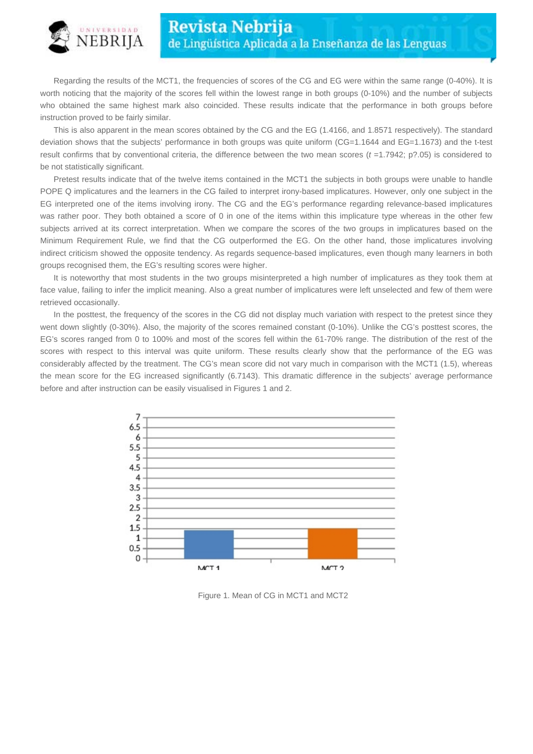

Regarding the results of the MCT1, the frequencies of scores of the CG and EG were within the same range (0-40%). It is worth noticing that the majority of the scores fell within the lowest range in both groups (0-10%) and the number of subjects who obtained the same highest mark also coincided. These results indicate that the performance in both groups before instruction proved to be fairly similar.

This is also apparent in the mean scores obtained by the CG and the EG (1.4166, and 1.8571 respectively). The standard deviation shows that the subjects' performance in both groups was quite uniform (CG=1.1644 and EG=1.1673) and the t-test result confirms that by conventional criteria, the difference between the two mean scores  $(t = 1.7942; p$ ?.05) is considered to be not statistically significant.

Pretest results indicate that of the twelve items contained in the MCT1 the subjects in both groups were unable to handle POPE Q implicatures and the learners in the CG failed to interpret irony-based implicatures. However, only one subject in the EG interpreted one of the items involving irony. The CG and the EG's performance regarding relevance-based implicatures was rather poor. They both obtained a score of 0 in one of the items within this implicature type whereas in the other few subjects arrived at its correct interpretation. When we compare the scores of the two groups in implicatures based on the Minimum Requirement Rule, we find that the CG outperformed the EG. On the other hand, those implicatures involving indirect criticism showed the opposite tendency. As regards sequence-based implicatures, even though many learners in both groups recognised them, the EG's resulting scores were higher.

It is noteworthy that most students in the two groups misinterpreted a high number of implicatures as they took them at face value, failing to infer the implicit meaning. Also a great number of implicatures were left unselected and few of them were retrieved occasionally.

In the posttest, the frequency of the scores in the CG did not display much variation with respect to the pretest since they went down slightly (0-30%). Also, the majority of the scores remained constant (0-10%). Unlike the CG's posttest scores, the EG's scores ranged from 0 to 100% and most of the scores fell within the 61-70% range. The distribution of the rest of the scores with respect to this interval was quite uniform. These results clearly show that the performance of the EG was considerably affected by the treatment. The CG's mean score did not vary much in comparison with the MCT1 (1.5), whereas the mean score for the EG increased significantly (6.7143). This dramatic difference in the subjects' average performance before and after instruction can be easily visualised in Figures 1 and 2.



Figure 1. Mean of CG in MCT1 and MCT2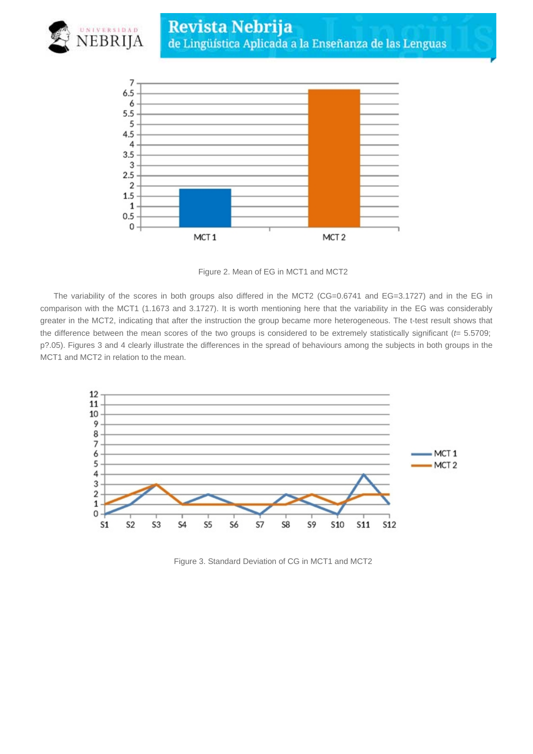



Figure 2. Mean of EG in MCT1 and MCT2

The variability of the scores in both groups also differed in the MCT2 (CG=0.6741 and EG=3.1727) and in the EG in comparison with the MCT1 (1.1673 and 3.1727). It is worth mentioning here that the variability in the EG was considerably greater in the MCT2, indicating that after the instruction the group became more heterogeneous. The t-test result shows that the difference between the mean scores of the two groups is considered to be extremely statistically significant ( $t=$  5.5709; p?.05). Figures 3 and 4 clearly illustrate the differences in the spread of behaviours among the subjects in both groups in the MCT1 and MCT2 in relation to the mean.



Figure 3. Standard Deviation of CG in MCT1 and MCT2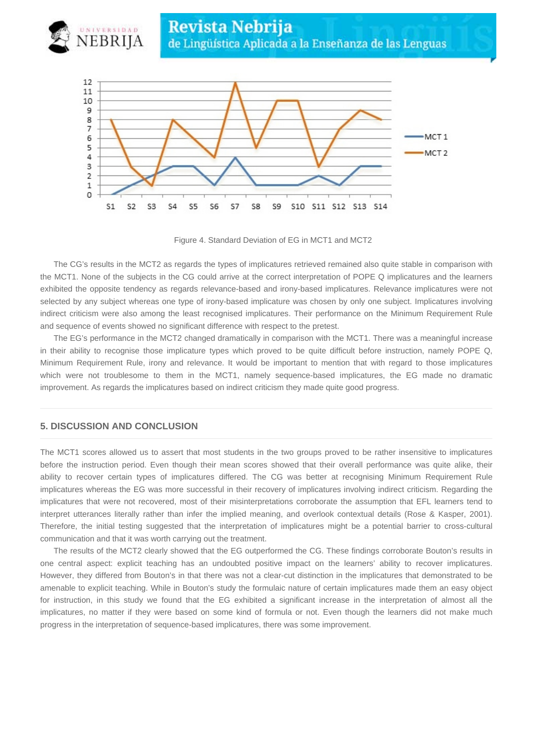



Figure 4. Standard Deviation of EG in MCT1 and MCT2

The CG's results in the MCT2 as regards the types of implicatures retrieved remained also quite stable in comparison with the MCT1. None of the subjects in the CG could arrive at the correct interpretation of POPE Q implicatures and the learners exhibited the opposite tendency as regards relevance-based and irony-based implicatures. Relevance implicatures were not selected by any subject whereas one type of irony-based implicature was chosen by only one subject. Implicatures involving indirect criticism were also among the least recognised implicatures. Their performance on the Minimum Requirement Rule and sequence of events showed no significant difference with respect to the pretest.

The EG's performance in the MCT2 changed dramatically in comparison with the MCT1. There was a meaningful increase in their ability to recognise those implicature types which proved to be quite difficult before instruction, namely POPE Q, Minimum Requirement Rule, irony and relevance. It would be important to mention that with regard to those implicatures which were not troublesome to them in the MCT1, namely sequence-based implicatures, the EG made no dramatic improvement. As regards the implicatures based on indirect criticism they made quite good progress.

## **5. DISCUSSION AND CONCLUSION**

The MCT1 scores allowed us to assert that most students in the two groups proved to be rather insensitive to implicatures before the instruction period. Even though their mean scores showed that their overall performance was quite alike, their ability to recover certain types of implicatures differed. The CG was better at recognising Minimum Requirement Rule implicatures whereas the EG was more successful in their recovery of implicatures involving indirect criticism. Regarding the implicatures that were not recovered, most of their misinterpretations corroborate the assumption that EFL learners tend to interpret utterances literally rather than infer the implied meaning, and overlook contextual details (Rose & Kasper, 2001). Therefore, the initial testing suggested that the interpretation of implicatures might be a potential barrier to cross-cultural communication and that it was worth carrying out the treatment.

The results of the MCT2 clearly showed that the EG outperformed the CG. These findings corroborate Bouton's results in one central aspect: explicit teaching has an undoubted positive impact on the learners' ability to recover implicatures. However, they differed from Bouton's in that there was not a clear-cut distinction in the implicatures that demonstrated to be amenable to explicit teaching. While in Bouton's study the formulaic nature of certain implicatures made them an easy object for instruction, in this study we found that the EG exhibited a significant increase in the interpretation of almost all the implicatures, no matter if they were based on some kind of formula or not. Even though the learners did not make much progress in the interpretation of sequence-based implicatures, there was some improvement.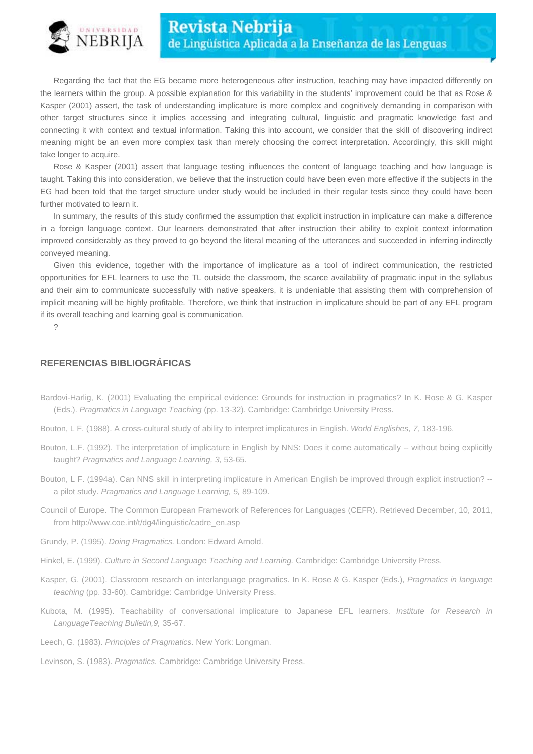

Regarding the fact that the EG became more heterogeneous after instruction, teaching may have impacted differently on the learners within the group. A possible explanation for this variability in the students' improvement could be that as Rose & Kasper (2001) assert, the task of understanding implicature is more complex and cognitively demanding in comparison with other target structures since it implies accessing and integrating cultural, linguistic and pragmatic knowledge fast and connecting it with context and textual information. Taking this into account, we consider that the skill of discovering indirect meaning might be an even more complex task than merely choosing the correct interpretation. Accordingly, this skill might take longer to acquire.

Rose & Kasper (2001) assert that language testing influences the content of language teaching and how language is taught. Taking this into consideration, we believe that the instruction could have been even more effective if the subjects in the EG had been told that the target structure under study would be included in their regular tests since they could have been further motivated to learn it.

In summary, the results of this study confirmed the assumption that explicit instruction in implicature can make a difference in a foreign language context. Our learners demonstrated that after instruction their ability to exploit context information improved considerably as they proved to go beyond the literal meaning of the utterances and succeeded in inferring indirectly conveyed meaning.

Given this evidence, together with the importance of implicature as a tool of indirect communication, the restricted opportunities for EFL learners to use the TL outside the classroom, the scarce availability of pragmatic input in the syllabus and their aim to communicate successfully with native speakers, it is undeniable that assisting them with comprehension of implicit meaning will be highly profitable. Therefore, we think that instruction in implicature should be part of any EFL program if its overall teaching and learning goal is communication.

?

## **REFERENCIAS BIBLIOGRÁFICAS**

- Bardovi-Harlig, K. (2001) Evaluating the empirical evidence: Grounds for instruction in pragmatics? In K. Rose & G. Kasper (Eds.). Pragmatics in Language Teaching (pp. 13-32). Cambridge: Cambridge University Press.
- Bouton, L F. (1988). A cross-cultural study of ability to interpret implicatures in English. World Englishes, 7, 183-196.
- Bouton, L.F. (1992). The interpretation of implicature in English by NNS: Does it come automatically -- without being explicitly taught? Pragmatics and Language Learning, 3, 53-65.
- Bouton, L F. (1994a). Can NNS skill in interpreting implicature in American English be improved through explicit instruction? a pilot study. Pragmatics and Language Learning, 5, 89-109.
- Council of Europe. The Common European Framework of References for Languages (CEFR). Retrieved December, 10, 2011, from http://www.coe.int/t/dg4/linguistic/cadre\_en.asp
- Grundy, P. (1995). Doing Pragmatics. London: Edward Arnold.
- Hinkel, E. (1999). Culture in Second Language Teaching and Learning. Cambridge: Cambridge University Press.
- Kasper, G. (2001). Classroom research on interlanguage pragmatics. In K. Rose & G. Kasper (Eds.), Pragmatics in language teaching (pp. 33-60). Cambridge: Cambridge University Press.
- Kubota, M. (1995). Teachability of conversational implicature to Japanese EFL learners. Institute for Research in LanguageTeaching Bulletin,9, 35-67.
- Leech, G. (1983). Principles of Pragmatics. New York: Longman.

Levinson, S. (1983). Pragmatics. Cambridge: Cambridge University Press.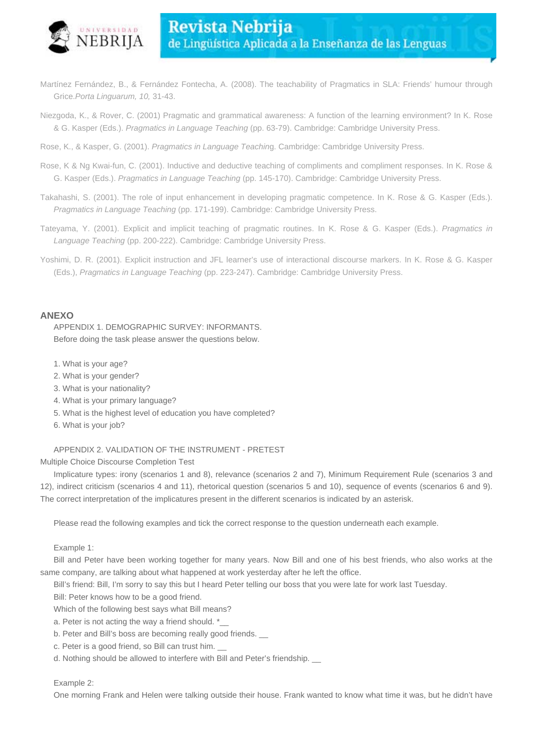

- Martínez Fernández, B., & Fernández Fontecha, A. (2008). The teachability of Pragmatics in SLA: Friends' humour through Grice.Porta Linguarum, 10, 31-43.
- Niezgoda, K., & Rover, C. (2001) Pragmatic and grammatical awareness: A function of the learning environment? In K. Rose & G. Kasper (Eds.). Pragmatics in Language Teaching (pp. 63-79). Cambridge: Cambridge University Press.
- Rose, K., & Kasper, G. (2001). Pragmatics in Language Teaching. Cambridge: Cambridge University Press.
- Rose, K & Ng Kwai-fun, C. (2001). Inductive and deductive teaching of compliments and compliment responses. In K. Rose & G. Kasper (Eds.). Pragmatics in Language Teaching (pp. 145-170). Cambridge: Cambridge University Press.
- Takahashi, S. (2001). The role of input enhancement in developing pragmatic competence. In K. Rose & G. Kasper (Eds.). Pragmatics in Language Teaching (pp. 171-199). Cambridge: Cambridge University Press.
- Tateyama, Y. (2001). Explicit and implicit teaching of pragmatic routines. In K. Rose & G. Kasper (Eds.). Pragmatics in Language Teaching (pp. 200-222). Cambridge: Cambridge University Press.
- Yoshimi, D. R. (2001). Explicit instruction and JFL learner's use of interactional discourse markers. In K. Rose & G. Kasper (Eds.), Pragmatics in Language Teaching (pp. 223-247). Cambridge: Cambridge University Press.

#### **ANEXO**

APPENDIX 1. DEMOGRAPHIC SURVEY: INFORMANTS. Before doing the task please answer the questions below.

- 1. What is your age?
- 2. What is your gender?
- 3. What is your nationality?
- 4. What is your primary language?
- 5. What is the highest level of education you have completed?
- 6. What is your job?

#### APPENDIX 2. VALIDATION OF THE INSTRUMENT - PRETEST

Multiple Choice Discourse Completion Test

Implicature types: irony (scenarios 1 and 8), relevance (scenarios 2 and 7), Minimum Requirement Rule (scenarios 3 and 12), indirect criticism (scenarios 4 and 11), rhetorical question (scenarios 5 and 10), sequence of events (scenarios 6 and 9). The correct interpretation of the implicatures present in the different scenarios is indicated by an asterisk.

Please read the following examples and tick the correct response to the question underneath each example.

Example 1:

Bill and Peter have been working together for many years. Now Bill and one of his best friends, who also works at the same company, are talking about what happened at work yesterday after he left the office.

Bill's friend: Bill, I'm sorry to say this but I heard Peter telling our boss that you were late for work last Tuesday.

Bill: Peter knows how to be a good friend.

Which of the following best says what Bill means?

a. Peter is not acting the way a friend should. \*\_

- b. Peter and Bill's boss are becoming really good friends.
- c. Peter is a good friend, so Bill can trust him. \_\_
- d. Nothing should be allowed to interfere with Bill and Peter's friendship. \_\_

#### Example 2:

One morning Frank and Helen were talking outside their house. Frank wanted to know what time it was, but he didn't have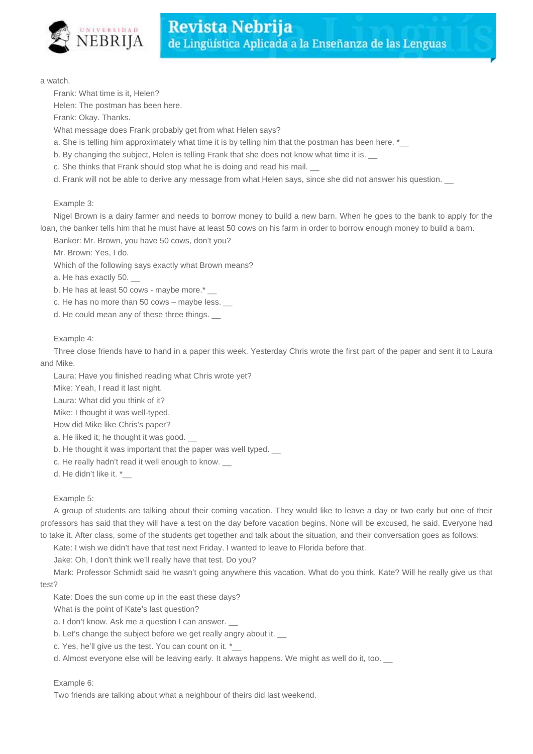

a watch.

Frank: What time is it, Helen?

Helen: The postman has been here.

Frank: Okay. Thanks.

What message does Frank probably get from what Helen says?

a. She is telling him approximately what time it is by telling him that the postman has been here. \*\_

b. By changing the subject, Helen is telling Frank that she does not know what time it is.

c. She thinks that Frank should stop what he is doing and read his mail.

d. Frank will not be able to derive any message from what Helen says, since she did not answer his question.

Example 3:

Nigel Brown is a dairy farmer and needs to borrow money to build a new barn. When he goes to the bank to apply for the loan, the banker tells him that he must have at least 50 cows on his farm in order to borrow enough money to build a barn.

Banker: Mr. Brown, you have 50 cows, don't you?

Mr. Brown: Yes, I do.

Which of the following says exactly what Brown means?

a. He has exactly 50. \_\_

b. He has at least 50 cows - maybe more.\*

c. He has no more than  $50 \text{ cows} - \text{maybe less.}$ 

d. He could mean any of these three things. \_\_

## Example 4:

Three close friends have to hand in a paper this week. Yesterday Chris wrote the first part of the paper and sent it to Laura and Mike.

Laura: Have you finished reading what Chris wrote yet?

Mike: Yeah, I read it last night.

Laura: What did you think of it?

Mike: I thought it was well-typed.

How did Mike like Chris's paper?

a. He liked it: he thought it was good.

b. He thought it was important that the paper was well typed.

c. He really hadn't read it well enough to know.

d. He didn't like it. \*

#### Example 5:

A group of students are talking about their coming vacation. They would like to leave a day or two early but one of their professors has said that they will have a test on the day before vacation begins. None will be excused, he said. Everyone had to take it. After class, some of the students get together and talk about the situation, and their conversation goes as follows:

Kate: I wish we didn't have that test next Friday. I wanted to leave to Florida before that.

Jake: Oh, I don't think we'll really have that test. Do you?

Mark: Professor Schmidt said he wasn't going anywhere this vacation. What do you think, Kate? Will he really give us that test?

Kate: Does the sun come up in the east these days?

What is the point of Kate's last question?

a. I don't know. Ask me a question I can answer. \_

b. Let's change the subject before we get really angry about it.

c. Yes, he'll give us the test. You can count on it. \*\_\_

d. Almost everyone else will be leaving early. It always happens. We might as well do it, too.

## Example 6:

Two friends are talking about what a neighbour of theirs did last weekend.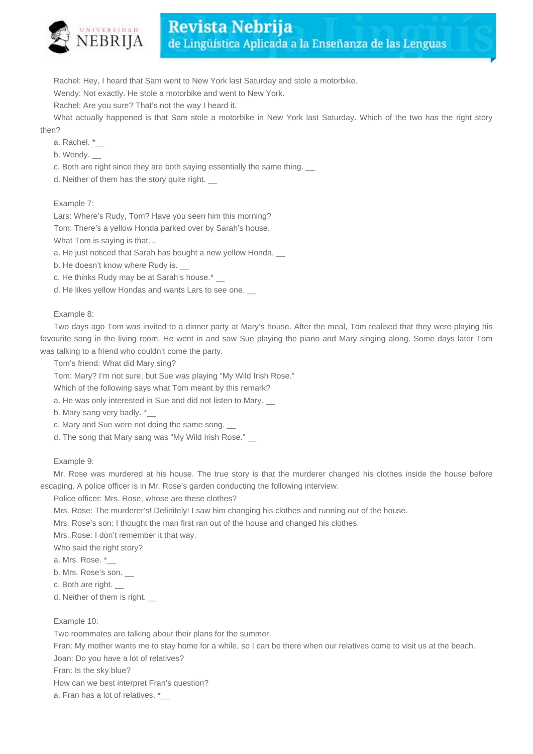

Rachel: Hey, I heard that Sam went to New York last Saturday and stole a motorbike.

Wendy: Not exactly. He stole a motorbike and went to New York.

Rachel: Are you sure? That's not the way I heard it.

What actually happened is that Sam stole a motorbike in New York last Saturday. Which of the two has the right story then?

- a. Rachel. \*\_\_
- b. Wendy. \_\_

c. Both are right since they are both saying essentially the same thing. \_\_

d. Neither of them has the story quite right. \_\_

Example 7:

Lars: Where's Rudy, Tom? Have you seen him this morning?

Tom: There's a yellow Honda parked over by Sarah's house.

What Tom is saying is that…

a. He just noticed that Sarah has bought a new yellow Honda. \_\_

b. He doesn't know where Rudy is. \_\_

c. He thinks Rudy may be at Sarah's house.\* \_\_

d. He likes yellow Hondas and wants Lars to see one.

Example 8:

Two days ago Tom was invited to a dinner party at Mary's house. After the meal, Tom realised that they were playing his favourite song in the living room. He went in and saw Sue playing the piano and Mary singing along. Some days later Tom was talking to a friend who couldn't come the party.

Tom's friend: What did Mary sing?

Tom: Mary? I'm not sure, but Sue was playing "My Wild Irish Rose."

Which of the following says what Tom meant by this remark?

a. He was only interested in Sue and did not listen to Mary. \_\_

- b. Mary sang very badly. \*\_\_
- c. Mary and Sue were not doing the same song.

d. The song that Mary sang was "My Wild Irish Rose."

Example 9:

Mr. Rose was murdered at his house. The true story is that the murderer changed his clothes inside the house before escaping. A police officer is in Mr. Rose's garden conducting the following interview.

Police officer: Mrs. Rose, whose are these clothes?

Mrs. Rose: The murderer's! Definitely! I saw him changing his clothes and running out of the house.

Mrs. Rose's son: I thought the man first ran out of the house and changed his clothes.

Mrs. Rose: I don't remember it that way.

Who said the right story?

a. Mrs. Rose. \*

- b. Mrs. Rose's son. \_\_
- c. Both are right.

d. Neither of them is right.

Example 10:

Two roommates are talking about their plans for the summer.

Fran: My mother wants me to stay home for a while, so I can be there when our relatives come to visit us at the beach.

Joan: Do you have a lot of relatives?

Fran: Is the sky blue?

How can we best interpret Fran's question?

a. Fran has a lot of relatives. \*\_\_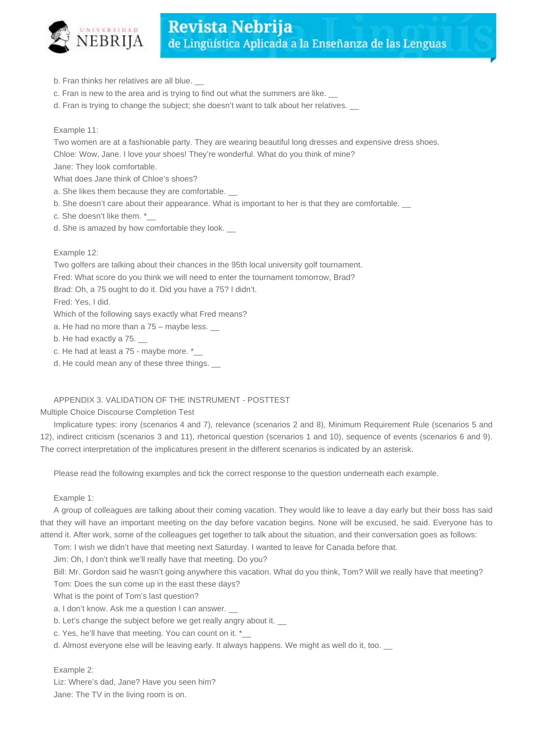

- b. Fran thinks her relatives are all blue. \_\_
- c. Fran is new to the area and is trying to find out what the summers are like. \_\_
- d. Fran is trying to change the subject; she doesn't want to talk about her relatives.

## Example 11:

Two women are at a fashionable party. They are wearing beautiful long dresses and expensive dress shoes. Chloe: Wow, Jane. I love your shoes! They're wonderful. What do you think of mine?

Jane: They look comfortable.

What does Jane think of Chloe's shoes?

- a. She likes them because they are comfortable.
- b. She doesn't care about their appearance. What is important to her is that they are comfortable.  $\_\_$
- c. She doesn't like them. \*
- d. She is amazed by how comfortable they look.

## Example 12:

Two golfers are talking about their chances in the 95th local university golf tournament.

Fred: What score do you think we will need to enter the tournament tomorrow, Brad?

Brad: Oh, a 75 ought to do it. Did you have a 75? I didn't.

Fred: Yes, I did.

Which of the following says exactly what Fred means?

a. He had no more than a 75 – maybe less. \_\_

b. He had exactly a 75.

c. He had at least a 75 - maybe more. \*

d. He could mean any of these three things. \_\_

## APPENDIX 3. VALIDATION OF THE INSTRUMENT - POSTTEST

Multiple Choice Discourse Completion Test

Implicature types: irony (scenarios 4 and 7), relevance (scenarios 2 and 8), Minimum Requirement Rule (scenarios 5 and 12), indirect criticism (scenarios 3 and 11), rhetorical question (scenarios 1 and 10), sequence of events (scenarios 6 and 9). The correct interpretation of the implicatures present in the different scenarios is indicated by an asterisk.

Please read the following examples and tick the correct response to the question underneath each example.

#### Example 1:

A group of colleagues are talking about their coming vacation. They would like to leave a day early but their boss has said that they will have an important meeting on the day before vacation begins. None will be excused, he said. Everyone has to attend it. After work, some of the colleagues get together to talk about the situation, and their conversation goes as follows:

Tom: I wish we didn't have that meeting next Saturday. I wanted to leave for Canada before that.

Jim: Oh, I don't think we'll really have that meeting. Do you?

Bill: Mr. Gordon said he wasn't going anywhere this vacation. What do you think, Tom? Will we really have that meeting?

Tom: Does the sun come up in the east these days?

What is the point of Tom's last question?

- a. I don't know. Ask me a question I can answer.
- b. Let's change the subject before we get really angry about it.
- c. Yes, he'll have that meeting. You can count on it. \*
- d. Almost everyone else will be leaving early. It always happens. We might as well do it, too. \_\_

## Example 2:

Liz: Where's dad, Jane? Have you seen him? Jane: The TV in the living room is on.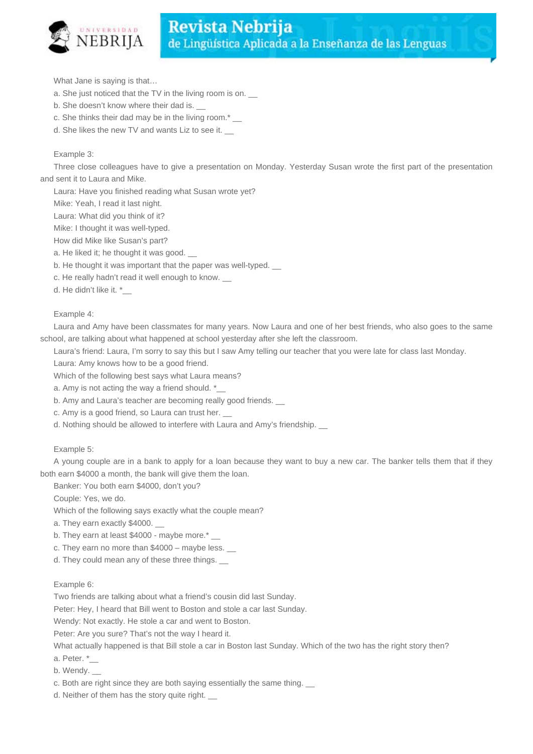

What Jane is saying is that…

- a. She just noticed that the TV in the living room is on. \_\_
- b. She doesn't know where their dad is.
- c. She thinks their dad may be in the living room.\*
- d. She likes the new TV and wants Liz to see it.

#### Example 3:

Three close colleagues have to give a presentation on Monday. Yesterday Susan wrote the first part of the presentation and sent it to Laura and Mike.

Laura: Have you finished reading what Susan wrote yet?

Mike: Yeah, I read it last night.

Laura: What did you think of it?

Mike: I thought it was well-typed.

How did Mike like Susan's part?

- a. He liked it; he thought it was good.
- b. He thought it was important that the paper was well-typed.  $\Box$
- c. He really hadn't read it well enough to know. \_\_
- d. He didn't like it. \*

Example 4:

Laura and Amy have been classmates for many years. Now Laura and one of her best friends, who also goes to the same school, are talking about what happened at school yesterday after she left the classroom.

Laura's friend: Laura, I'm sorry to say this but I saw Amy telling our teacher that you were late for class last Monday.

Laura: Amy knows how to be a good friend.

Which of the following best says what Laura means?

a. Amy is not acting the way a friend should. \*

- b. Amy and Laura's teacher are becoming really good friends.
- c. Amy is a good friend, so Laura can trust her. \_\_
- d. Nothing should be allowed to interfere with Laura and Amy's friendship. \_\_

#### Example 5:

A young couple are in a bank to apply for a loan because they want to buy a new car. The banker tells them that if they both earn \$4000 a month, the bank will give them the loan.

Banker: You both earn \$4000, don't you?

Couple: Yes, we do.

Which of the following says exactly what the couple mean?

a. They earn exactly \$4000.

- b. They earn at least \$4000 maybe more.\*
- c. They earn no more than  $$4000 -$  maybe less.

d. They could mean any of these three things.

Example 6:

Two friends are talking about what a friend's cousin did last Sunday.

Peter: Hey, I heard that Bill went to Boston and stole a car last Sunday.

Wendy: Not exactly. He stole a car and went to Boston.

Peter: Are you sure? That's not the way I heard it.

What actually happened is that Bill stole a car in Boston last Sunday. Which of the two has the right story then?

a. Peter. \*\_\_

- b. Wendy.
- c. Both are right since they are both saying essentially the same thing.

d. Neither of them has the story quite right. \_\_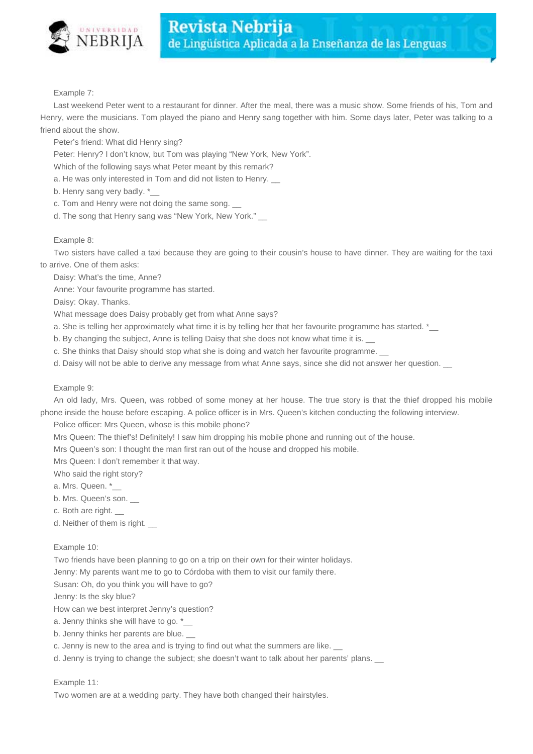

Example 7:

Last weekend Peter went to a restaurant for dinner. After the meal, there was a music show. Some friends of his, Tom and Henry, were the musicians. Tom played the piano and Henry sang together with him. Some days later, Peter was talking to a friend about the show.

Peter's friend: What did Henry sing?

Peter: Henry? I don't know, but Tom was playing "New York, New York".

Which of the following says what Peter meant by this remark?

a. He was only interested in Tom and did not listen to Henry. \_\_

b. Henry sang very badly. \*

c. Tom and Henry were not doing the same song. \_\_

d. The song that Henry sang was "New York, New York."

#### Example 8:

Two sisters have called a taxi because they are going to their cousin's house to have dinner. They are waiting for the taxi to arrive. One of them asks:

Daisy: What's the time, Anne?

Anne: Your favourite programme has started.

Daisy: Okay. Thanks.

What message does Daisy probably get from what Anne says?

a. She is telling her approximately what time it is by telling her that her favourite programme has started. \*\_\_

b. By changing the subject, Anne is telling Daisy that she does not know what time it is.

c. She thinks that Daisy should stop what she is doing and watch her favourite programme.

d. Daisy will not be able to derive any message from what Anne says, since she did not answer her question. \_

#### Example 9:

An old lady, Mrs. Queen, was robbed of some money at her house. The true story is that the thief dropped his mobile phone inside the house before escaping. A police officer is in Mrs. Queen's kitchen conducting the following interview.

Police officer: Mrs Queen, whose is this mobile phone?

Mrs Queen: The thief's! Definitely! I saw him dropping his mobile phone and running out of the house.

Mrs Queen's son: I thought the man first ran out of the house and dropped his mobile.

Mrs Queen: I don't remember it that way.

Who said the right story?

a. Mrs. Queen. \*\_\_

b. Mrs. Queen's son.

c. Both are right. \_\_

d. Neither of them is right.

#### Example 10:

Two friends have been planning to go on a trip on their own for their winter holidays.

Jenny: My parents want me to go to Córdoba with them to visit our family there.

Susan: Oh, do you think you will have to go?

Jenny: Is the sky blue?

How can we best interpret Jenny's question?

a. Jenny thinks she will have to go. \*\_

b. Jenny thinks her parents are blue.

c. Jenny is new to the area and is trying to find out what the summers are like.

d. Jenny is trying to change the subject; she doesn't want to talk about her parents' plans.  $\Box$ 

#### Example 11:

Two women are at a wedding party. They have both changed their hairstyles.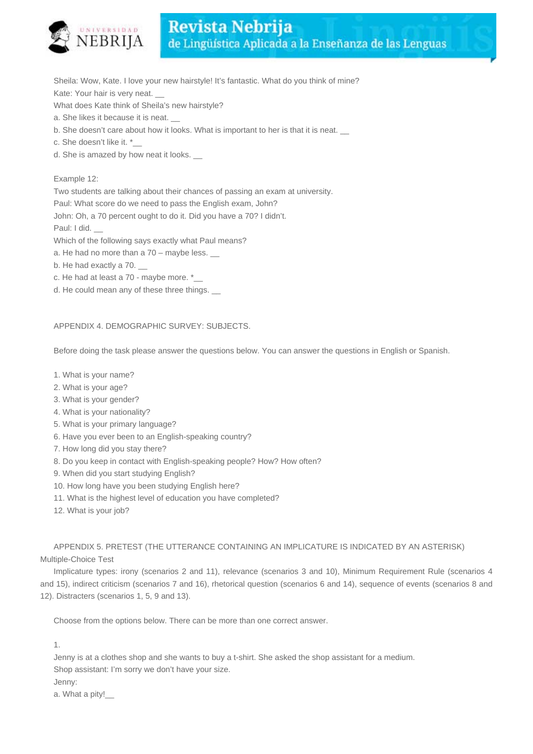

Sheila: Wow, Kate. I love your new hairstyle! It's fantastic. What do you think of mine? Kate: Your hair is very neat.

What does Kate think of Sheila's new hairstyle?

- a. She likes it because it is neat.
- b. She doesn't care about how it looks. What is important to her is that it is neat.
- c. She doesn't like it. \*\_\_
- d. She is amazed by how neat it looks. \_\_

#### Example 12:

Two students are talking about their chances of passing an exam at university.

Paul: What score do we need to pass the English exam, John?

John: Oh, a 70 percent ought to do it. Did you have a 70? I didn't.

Paul: I did.

Which of the following says exactly what Paul means?

- a. He had no more than a  $70 -$  maybe less.
- b. He had exactly a 70.
- c. He had at least a 70 maybe more. \*\_\_
- d. He could mean any of these three things. \_\_

#### APPENDIX 4. DEMOGRAPHIC SURVEY: SUBJECTS.

Before doing the task please answer the questions below. You can answer the questions in English or Spanish.

- 1. What is your name?
- 2. What is your age?
- 3. What is your gender?
- 4. What is your nationality?
- 5. What is your primary language?
- 6. Have you ever been to an English-speaking country?
- 7. How long did you stay there?
- 8. Do you keep in contact with English-speaking people? How? How often?
- 9. When did you start studying English?
- 10. How long have you been studying English here?
- 11. What is the highest level of education you have completed?
- 12. What is your job?

APPENDIX 5. PRETEST (THE UTTERANCE CONTAINING AN IMPLICATURE IS INDICATED BY AN ASTERISK) Multiple-Choice Test

Implicature types: irony (scenarios 2 and 11), relevance (scenarios 3 and 10), Minimum Requirement Rule (scenarios 4 and 15), indirect criticism (scenarios 7 and 16), rhetorical question (scenarios 6 and 14), sequence of events (scenarios 8 and 12). Distracters (scenarios 1, 5, 9 and 13).

Choose from the options below. There can be more than one correct answer.

1.

Jenny is at a clothes shop and she wants to buy a t-shirt. She asked the shop assistant for a medium. Shop assistant: I'm sorry we don't have your size. Jenny:

a. What a pity!\_\_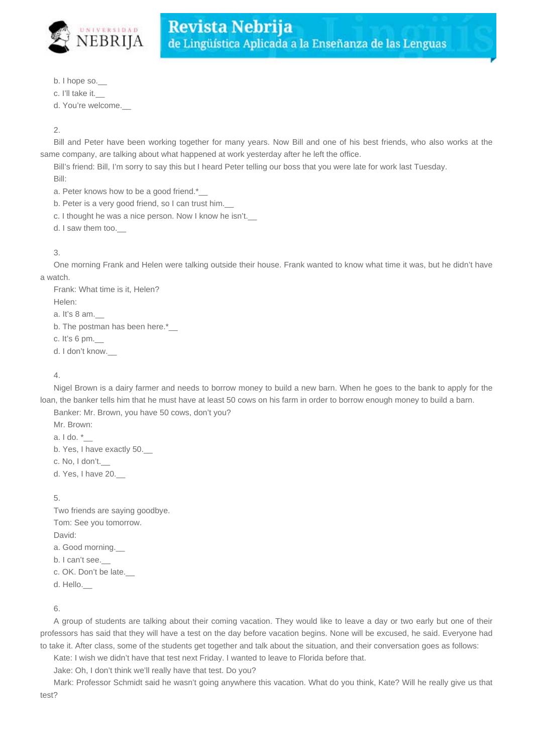

- b. I hope so.\_\_
- c. I'll take it.

d. You're welcome.\_\_

## 2.

Bill and Peter have been working together for many years. Now Bill and one of his best friends, who also works at the same company, are talking about what happened at work yesterday after he left the office.

Bill's friend: Bill, I'm sorry to say this but I heard Peter telling our boss that you were late for work last Tuesday. Bill:

a. Peter knows how to be a good friend.\*

b. Peter is a very good friend, so I can trust him.

c. I thought he was a nice person. Now I know he isn't.

d. I saw them too.\_\_

## 3.

One morning Frank and Helen were talking outside their house. Frank wanted to know what time it was, but he didn't have a watch.

Frank: What time is it, Helen? Helen: a. It's 8 am.\_\_ b. The postman has been here.\* c. It's  $6 \text{ pm}$ . d. I don't know.\_\_

## 4.

Nigel Brown is a dairy farmer and needs to borrow money to build a new barn. When he goes to the bank to apply for the loan, the banker tells him that he must have at least 50 cows on his farm in order to borrow enough money to build a barn.

Banker: Mr. Brown, you have 50 cows, don't you?

Mr. Brown:

a. I do. \*\_\_

b. Yes, I have exactly 50.\_\_

c. No, I don't.

d. Yes, I have 20.\_\_

5.

Two friends are saying goodbye. Tom: See you tomorrow. David: a. Good morning.\_\_ b. I can't see. c. OK. Don't be late.

d. Hello.\_\_

6.

A group of students are talking about their coming vacation. They would like to leave a day or two early but one of their professors has said that they will have a test on the day before vacation begins. None will be excused, he said. Everyone had to take it. After class, some of the students get together and talk about the situation, and their conversation goes as follows:

Kate: I wish we didn't have that test next Friday. I wanted to leave to Florida before that.

Jake: Oh, I don't think we'll really have that test. Do you?

Mark: Professor Schmidt said he wasn't going anywhere this vacation. What do you think, Kate? Will he really give us that test?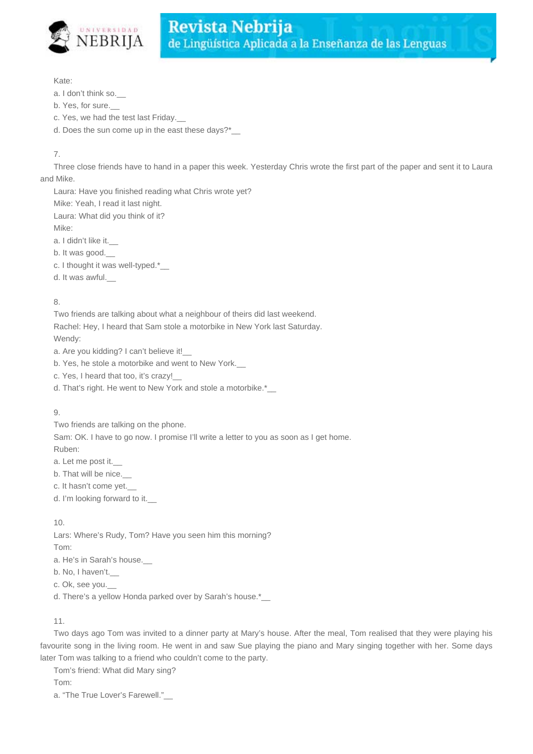

#### Kate:

a. I don't think so.

- b. Yes, for sure.
- c. Yes, we had the test last Friday.\_\_
- d. Does the sun come up in the east these days?\*\_\_

## 7.

Three close friends have to hand in a paper this week. Yesterday Chris wrote the first part of the paper and sent it to Laura and Mike.

Laura: Have you finished reading what Chris wrote yet?

Mike: Yeah, I read it last night.

Laura: What did you think of it?

Mike:

a. I didn't like it.

b. It was good.

c. I thought it was well-typed.\*\_\_

d. It was awful.\_\_

## 8.

Two friends are talking about what a neighbour of theirs did last weekend.

Rachel: Hey, I heard that Sam stole a motorbike in New York last Saturday. Wendy:

a. Are you kidding? I can't believe it!\_\_

- b. Yes, he stole a motorbike and went to New York.
- c. Yes, I heard that too, it's crazy!\_\_
- d. That's right. He went to New York and stole a motorbike.\*\_\_

## 9.

Two friends are talking on the phone.

Sam: OK. I have to go now. I promise I'll write a letter to you as soon as I get home. Ruben:

a. Let me post it.\_\_

b. That will be nice.\_\_

c. It hasn't come yet.\_\_

d. I'm looking forward to it.\_\_

10.

Lars: Where's Rudy, Tom? Have you seen him this morning? Tom:

a. He's in Sarah's house.

b. No, I haven't.

c. Ok, see you.\_\_

d. There's a yellow Honda parked over by Sarah's house.\*\_\_

## 11.

Two days ago Tom was invited to a dinner party at Mary's house. After the meal, Tom realised that they were playing his favourite song in the living room. He went in and saw Sue playing the piano and Mary singing together with her. Some days later Tom was talking to a friend who couldn't come to the party.

Tom's friend: What did Mary sing?

Tom:

a. "The True Lover's Farewell."\_\_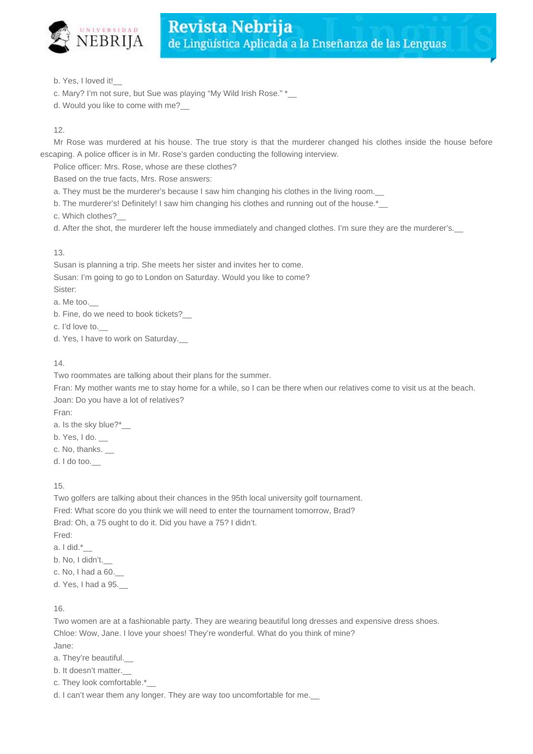

b. Yes, I loved it!\_\_

- c. Mary? I'm not sure, but Sue was playing "My Wild Irish Rose." \*\_
- d. Would you like to come with me?\_\_

12.

Mr Rose was murdered at his house. The true story is that the murderer changed his clothes inside the house before escaping. A police officer is in Mr. Rose's garden conducting the following interview.

Police officer: Mrs. Rose, whose are these clothes?

Based on the true facts, Mrs. Rose answers:

a. They must be the murderer's because I saw him changing his clothes in the living room.

b. The murderer's! Definitely! I saw him changing his clothes and running out of the house.\*\_\_

c. Which clothes?\_\_

d. After the shot, the murderer left the house immediately and changed clothes. I'm sure they are the murderer's.\_\_

## 13.

Susan is planning a trip. She meets her sister and invites her to come. Susan: I'm going to go to London on Saturday. Would you like to come? Sister:

a. Me too.\_\_

b. Fine, do we need to book tickets?\_\_

c. I'd love to.\_\_

d. Yes, I have to work on Saturday.

## 14.

Two roommates are talking about their plans for the summer.

Fran: My mother wants me to stay home for a while, so I can be there when our relatives come to visit us at the beach. Joan: Do you have a lot of relatives?

Fran:

- a. Is the sky blue?\*\_\_
- b. Yes, I do.

c. No, thanks.

d. I do too.\_\_

15.

Two golfers are talking about their chances in the 95th local university golf tournament. Fred: What score do you think we will need to enter the tournament tomorrow, Brad? Brad: Oh, a 75 ought to do it. Did you have a 75? I didn't. Fred:

- a. I did.\*\_\_
- b. No, I didn't.
- c. No, I had a 60.\_\_

d. Yes, I had a 95.\_\_

16.

Two women are at a fashionable party. They are wearing beautiful long dresses and expensive dress shoes. Chloe: Wow, Jane. I love your shoes! They're wonderful. What do you think of mine? Jane:

a. They're beautiful.

- b. It doesn't matter.\_\_
- c. They look comfortable.\*\_\_

d. I can't wear them any longer. They are way too uncomfortable for me.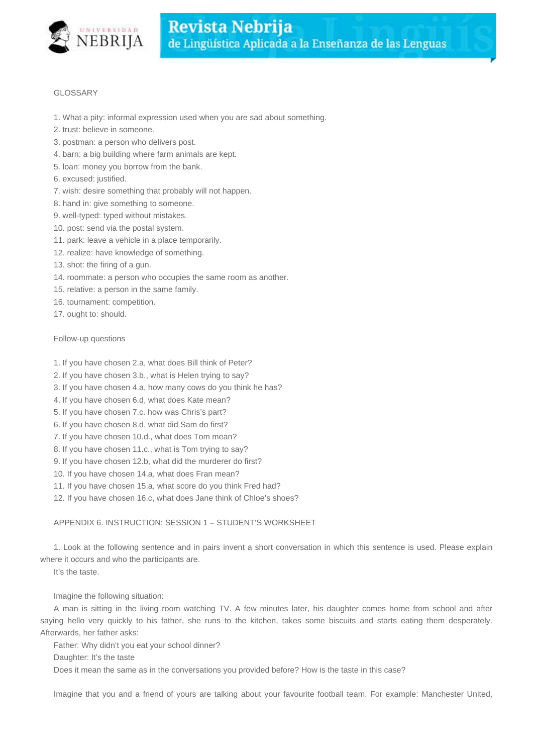

## GLOSSARY

- 1. What a pity: informal expression used when you are sad about something.
- 2. trust: believe in someone.
- 3. postman: a person who delivers post.
- 4. barn: a big building where farm animals are kept.
- 5. loan: money you borrow from the bank.
- 6. excused: justified.
- 7. wish: desire something that probably will not happen.
- 8. hand in: give something to someone.
- 9. well-typed: typed without mistakes.
- 10. post: send via the postal system.
- 11. park: leave a vehicle in a place temporarily.
- 12. realize: have knowledge of something.
- 13. shot: the firing of a gun.
- 14. roommate: a person who occupies the same room as another.
- 15. relative: a person in the same family.
- 16. tournament: competition.
- 17. ought to: should.

## Follow-up questions

- 1. If you have chosen 2.a, what does Bill think of Peter?
- 2. If you have chosen 3.b., what is Helen trying to say?
- 3. If you have chosen 4.a, how many cows do you think he has?
- 4. If you have chosen 6.d, what does Kate mean?
- 5. If you have chosen 7.c. how was Chris's part?
- 6. If you have chosen 8.d, what did Sam do first?
- 7. If you have chosen 10.d., what does Tom mean?
- 8. If you have chosen 11.c., what is Tom trying to say?
- 9. If you have chosen 12.b, what did the murderer do first?
- 10. If you have chosen 14.a, what does Fran mean?
- 11. If you have chosen 15.a, what score do you think Fred had?
- 12. If you have chosen 16.c, what does Jane think of Chloe's shoes?

## APPENDIX 6. INSTRUCTION: SESSION 1 – STUDENT'S WORKSHEET

1. Look at the following sentence and in pairs invent a short conversation in which this sentence is used. Please explain where it occurs and who the participants are.

It's the taste.

## Imagine the following situation:

A man is sitting in the living room watching TV. A few minutes later, his daughter comes home from school and after saying hello very quickly to his father, she runs to the kitchen, takes some biscuits and starts eating them desperately. Afterwards, her father asks:

Father: Why didn't you eat your school dinner?

Daughter: It's the taste

Does it mean the same as in the conversations you provided before? How is the taste in this case?

Imagine that you and a friend of yours are talking about your favourite football team. For example: Manchester United,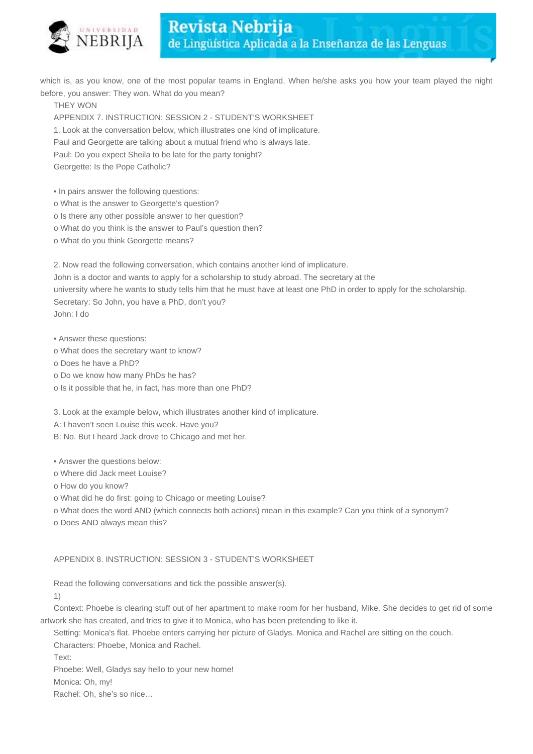

which is, as you know, one of the most popular teams in England. When he/she asks you how your team played the night before, you answer: They won. What do you mean?

THEY WON

APPENDIX 7. INSTRUCTION: SESSION 2 - STUDENT'S WORKSHEET

1. Look at the conversation below, which illustrates one kind of implicature.

Paul and Georgette are talking about a mutual friend who is always late.

Paul: Do you expect Sheila to be late for the party tonight?

Georgette: Is the Pope Catholic?

• In pairs answer the following questions:

o What is the answer to Georgette's question?

o Is there any other possible answer to her question?

- o What do you think is the answer to Paul's question then?
- o What do you think Georgette means?

2. Now read the following conversation, which contains another kind of implicature.

John is a doctor and wants to apply for a scholarship to study abroad. The secretary at the university where he wants to study tells him that he must have at least one PhD in order to apply for the scholarship. Secretary: So John, you have a PhD, don't you? John: I do

• Answer these questions:

- o What does the secretary want to know?
- o Does he have a PhD?
- o Do we know how many PhDs he has?
- o Is it possible that he, in fact, has more than one PhD?

3. Look at the example below, which illustrates another kind of implicature.

A: I haven't seen Louise this week. Have you?

B: No. But I heard Jack drove to Chicago and met her.

• Answer the questions below:

- o Where did Jack meet Louise?
- o How do you know?

o What did he do first: going to Chicago or meeting Louise?

o What does the word AND (which connects both actions) mean in this example? Can you think of a synonym?

o Does AND always mean this?

## APPENDIX 8. INSTRUCTION: SESSION 3 - STUDENT'S WORKSHEET

Read the following conversations and tick the possible answer(s).

1)

Context: Phoebe is clearing stuff out of her apartment to make room for her husband, Mike. She decides to get rid of some artwork she has created, and tries to give it to Monica, who has been pretending to like it.

Setting: Monica's flat. Phoebe enters carrying her picture of Gladys. Monica and Rachel are sitting on the couch.

Characters: Phoebe, Monica and Rachel.

Text:

Phoebe: Well, Gladys say hello to your new home!

Monica: Oh, my!

Rachel: Oh, she's so nice…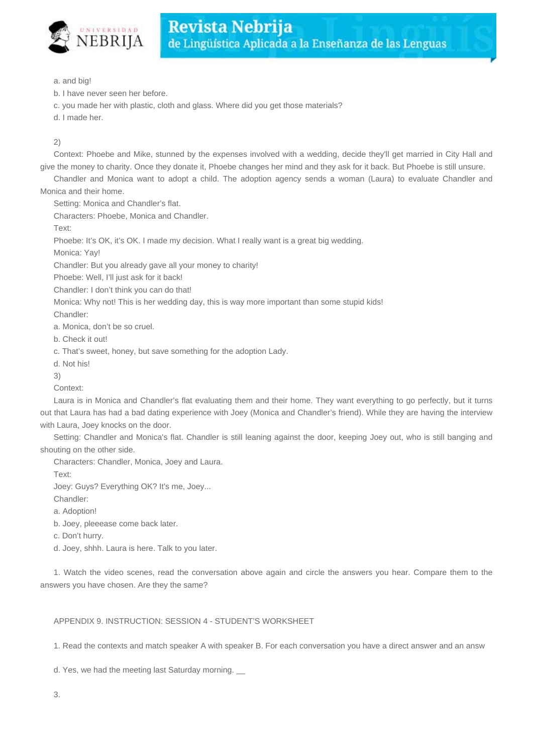

a. and big!

- b. I have never seen her before.
- c. you made her with plastic, cloth and glass. Where did you get those materials?
- d. I made her.

## 2)

Context: Phoebe and Mike, stunned by the expenses involved with a wedding, decide they'll get married in City Hall and give the money to charity. Once they donate it, Phoebe changes her mind and they ask for it back. But Phoebe is still unsure.

Chandler and Monica want to adopt a child. The adoption agency sends a woman (Laura) to evaluate Chandler and Monica and their home.

Setting: Monica and Chandler's flat.

Characters: Phoebe, Monica and Chandler.

Text:

Phoebe: It's OK, it's OK. I made my decision. What I really want is a great big wedding.

Monica: Yay!

Chandler: But you already gave all your money to charity!

Phoebe: Well, I'll just ask for it back!

Chandler: I don't think you can do that!

Monica: Why not! This is her wedding day, this is way more important than some stupid kids!

Chandler:

a. Monica, don't be so cruel.

b. Check it out!

c. That's sweet, honey, but save something for the adoption Lady.

d. Not his!

3)

Context:

Laura is in Monica and Chandler's flat evaluating them and their home. They want everything to go perfectly, but it turns out that Laura has had a bad dating experience with Joey (Monica and Chandler's friend). While they are having the interview with Laura, Joey knocks on the door.

Setting: Chandler and Monica's flat. Chandler is still leaning against the door, keeping Joey out, who is still banging and shouting on the other side.

Characters: Chandler, Monica, Joey and Laura.

Text:

Joey: Guys? Everything OK? It's me, Joey...

Chandler:

a. Adoption!

b. Joey, pleeease come back later.

c. Don't hurry.

d. Joey, shhh. Laura is here. Talk to you later.

1. Watch the video scenes, read the conversation above again and circle the answers you hear. Compare them to the answers you have chosen. Are they the same?

#### APPENDIX 9. INSTRUCTION: SESSION 4 - STUDENT'S WORKSHEET

1. Read the contexts and match speaker A with speaker B. For each conversation you have a direct answer and an answ

d. Yes, we had the meeting last Saturday morning. \_\_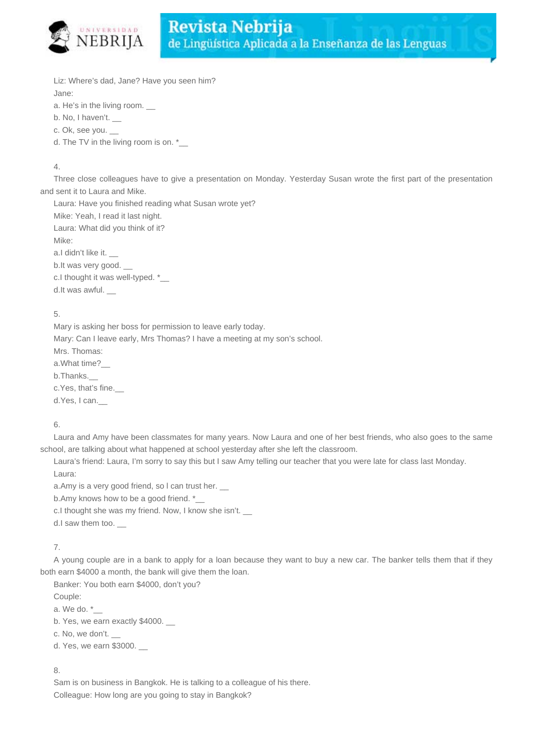

Liz: Where's dad, Jane? Have you seen him?

Jane:

a. He's in the living room.

b. No, I haven't.

c. Ok, see you. \_\_

d. The TV in the living room is on.  $*$ 

## 4.

Three close colleagues have to give a presentation on Monday. Yesterday Susan wrote the first part of the presentation and sent it to Laura and Mike.

Laura: Have you finished reading what Susan wrote yet? Mike: Yeah, I read it last night. Laura: What did you think of it? Mike: a.I didn't like it. b.It was very good. \_\_ c.I thought it was well-typed. \*\_ d.It was awful.

## 5.

Mary is asking her boss for permission to leave early today. Mary: Can I leave early, Mrs Thomas? I have a meeting at my son's school. Mrs. Thomas: a.What time?\_\_ b.Thanks.\_\_ c.Yes, that's fine. d.Yes, I can.\_\_

## 6.

Laura and Amy have been classmates for many years. Now Laura and one of her best friends, who also goes to the same school, are talking about what happened at school yesterday after she left the classroom.

Laura's friend: Laura, I'm sorry to say this but I saw Amy telling our teacher that you were late for class last Monday. Laura:

a.Amy is a very good friend, so I can trust her.

b.Amy knows how to be a good friend. \*

c.I thought she was my friend. Now, I know she isn't.

d.I saw them too.

## 7.

A young couple are in a bank to apply for a loan because they want to buy a new car. The banker tells them that if they both earn \$4000 a month, the bank will give them the loan.

Banker: You both earn \$4000, don't you?

Couple:

a. We do. \*\_\_

b. Yes, we earn exactly \$4000. \_\_

c. No, we don't.

d. Yes, we earn \$3000.

## 8.

Sam is on business in Bangkok. He is talking to a colleague of his there. Colleague: How long are you going to stay in Bangkok?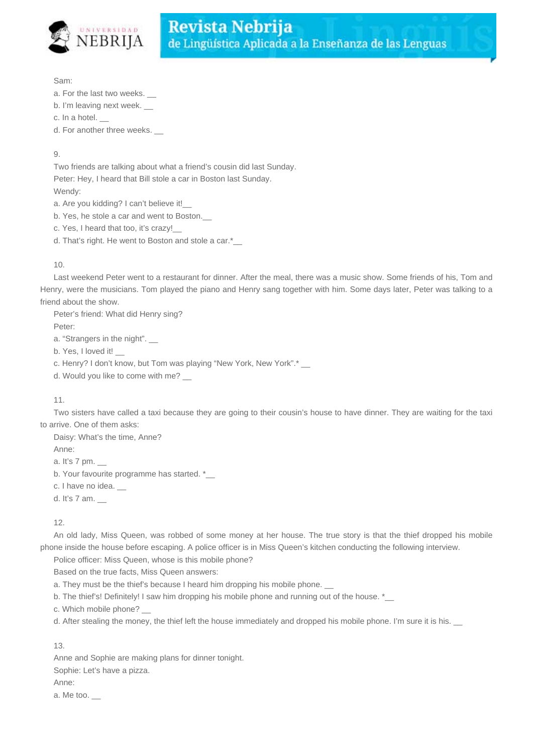

Sam:

- a. For the last two weeks.
- b. I'm leaving next week.
- c. In a hotel. \_\_

d. For another three weeks. \_\_

 $\mathsf{Q}$ 

Two friends are talking about what a friend's cousin did last Sunday. Peter: Hey, I heard that Bill stole a car in Boston last Sunday. Wendy:

a. Are you kidding? I can't believe it!\_\_\_

b. Yes, he stole a car and went to Boston.

c. Yes, I heard that too, it's crazy!\_\_

d. That's right. He went to Boston and stole a car.\*

## 10.

Last weekend Peter went to a restaurant for dinner. After the meal, there was a music show. Some friends of his, Tom and Henry, were the musicians. Tom played the piano and Henry sang together with him. Some days later, Peter was talking to a friend about the show.

Peter's friend: What did Henry sing?

Peter:

a. "Strangers in the night".

b. Yes, I loved it!

c. Henry? I don't know, but Tom was playing "New York, New York".\*

d. Would you like to come with me? \_\_

#### 11.

Two sisters have called a taxi because they are going to their cousin's house to have dinner. They are waiting for the taxi to arrive. One of them asks:

Daisy: What's the time, Anne? Anne: a. It's 7 pm. \_\_ b. Your favourite programme has started. \* c. I have no idea.

d. It's 7 am. \_\_

12.

An old lady, Miss Queen, was robbed of some money at her house. The true story is that the thief dropped his mobile phone inside the house before escaping. A police officer is in Miss Queen's kitchen conducting the following interview.

Police officer: Miss Queen, whose is this mobile phone?

Based on the true facts, Miss Queen answers:

- a. They must be the thief's because I heard him dropping his mobile phone. \_\_
- b. The thief's! Definitely! I saw him dropping his mobile phone and running out of the house.  $*$

c. Which mobile phone?

d. After stealing the money, the thief left the house immediately and dropped his mobile phone. I'm sure it is his.

13.

Anne and Sophie are making plans for dinner tonight. Sophie: Let's have a pizza.

Anne:

a. Me too.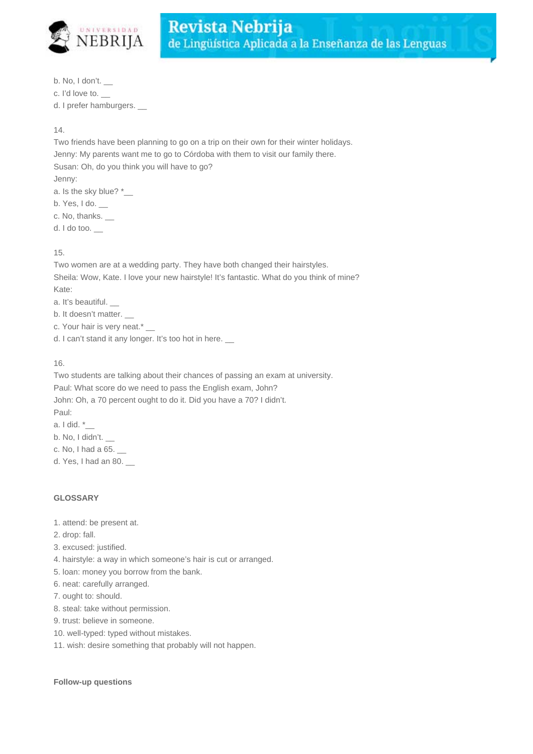

b. No, I don't. \_\_

c. I'd love to. \_\_

d. I prefer hamburgers.

14.

Two friends have been planning to go on a trip on their own for their winter holidays. Jenny: My parents want me to go to Córdoba with them to visit our family there. Susan: Oh, do you think you will have to go? Jenny: a. Is the sky blue? \* b. Yes, I do. \_\_

c. No, thanks. \_\_

d. I do too. \_\_

15.

Two women are at a wedding party. They have both changed their hairstyles. Sheila: Wow, Kate. I love your new hairstyle! It's fantastic. What do you think of mine? Kate:

a. It's beautiful.

b. It doesn't matter.

c. Your hair is very neat.\*

d. I can't stand it any longer. It's too hot in here.

16.

Two students are talking about their chances of passing an exam at university. Paul: What score do we need to pass the English exam, John? John: Oh, a 70 percent ought to do it. Did you have a 70? I didn't. Paul: a. I did. \*\_\_

b. No, I didn't.

c. No, I had a 65. \_\_

d. Yes, I had an 80. \_\_

## **GLOSSARY**

- 1. attend: be present at.
- 2. drop: fall.
- 3. excused: justified.
- 4. hairstyle: a way in which someone's hair is cut or arranged.
- 5. loan: money you borrow from the bank.
- 6. neat: carefully arranged.
- 7. ought to: should.
- 8. steal: take without permission.
- 9. trust: believe in someone.
- 10. well-typed: typed without mistakes.
- 11. wish: desire something that probably will not happen.

#### **Follow-up questions**